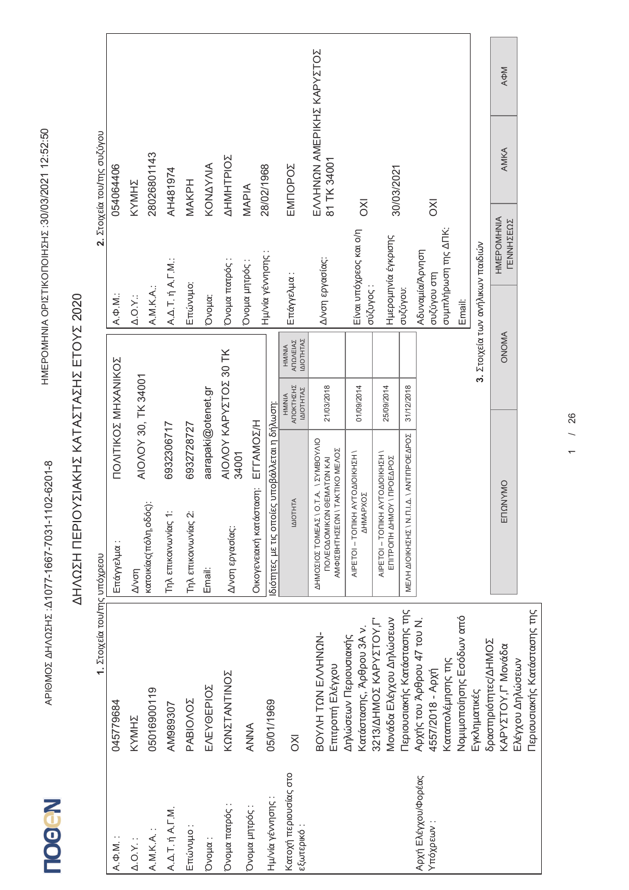$\leq$ ΩΣΗ ΠΕΡ<br>-

02Hz : 41077-1667-7031-1102-6201-8

HMEPOMHNIA OPIZTIKONOIHZHZ:30/03/2021 12:52:50

 :30/03/2021 12:52:50

दे

**N-GOOL** 

IGMOZ AHA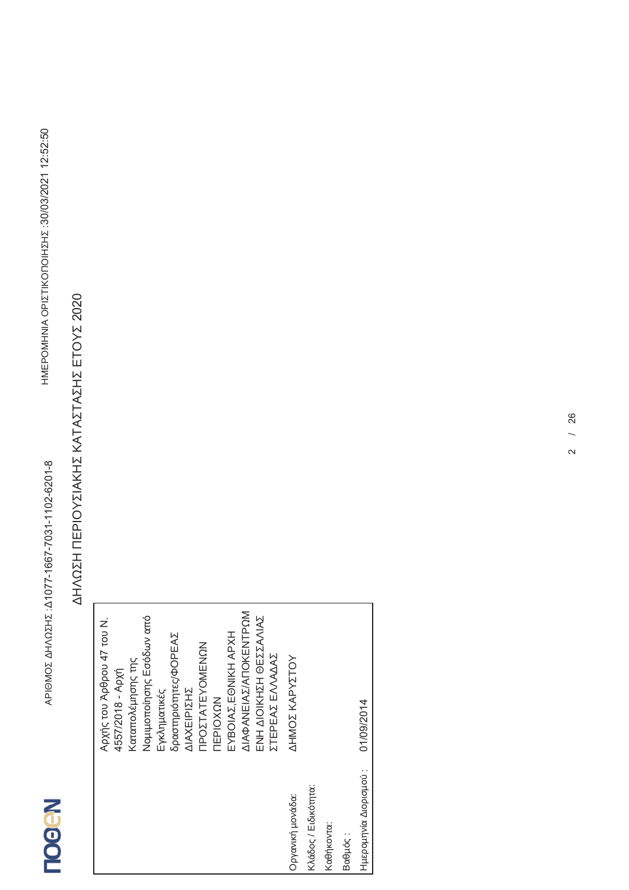|                       | Αρχής του Άρθρου 47 του Ν. |
|-----------------------|----------------------------|
|                       | 4557/2018 - Apxň           |
|                       | Καταπολέμησης της          |
|                       | Νομιμοποίησης Εσόδων από   |
|                       | Εγκληματικές               |
|                       | δραστηριότητες/ΦΟΡΕΑΣ      |
|                       | ΔΙΑΧΕΙΡΙΣΗΣ                |
|                       | <b>TPOZTATEYOMENCN</b>     |
|                       | NOXOIAE                    |
|                       | EYBOIAZ, EONIKH APXH       |
|                       | ΔΙΑΦΑΝΕΙΑΣ/ΑΠΟΚΕΝΤΡΩΜ      |
|                       | ΕΝΗ ΔΙΟΙΚΗΣΗ ΘΕΣΣΑΛΙΑΣ     |
|                       | ΣΤΕΡΕΑΣ ΕΛΛΑΔΑΣ            |
| Οργανική μονάδα:      | AHMOZ KAPYZTOY             |
| Κλάδος / Ειδικότητα:  |                            |
| Καθήκοντα:            |                            |
| Βαθμός:               |                            |
| Ημερομηνία Διορισμού: | 01/09/2014                 |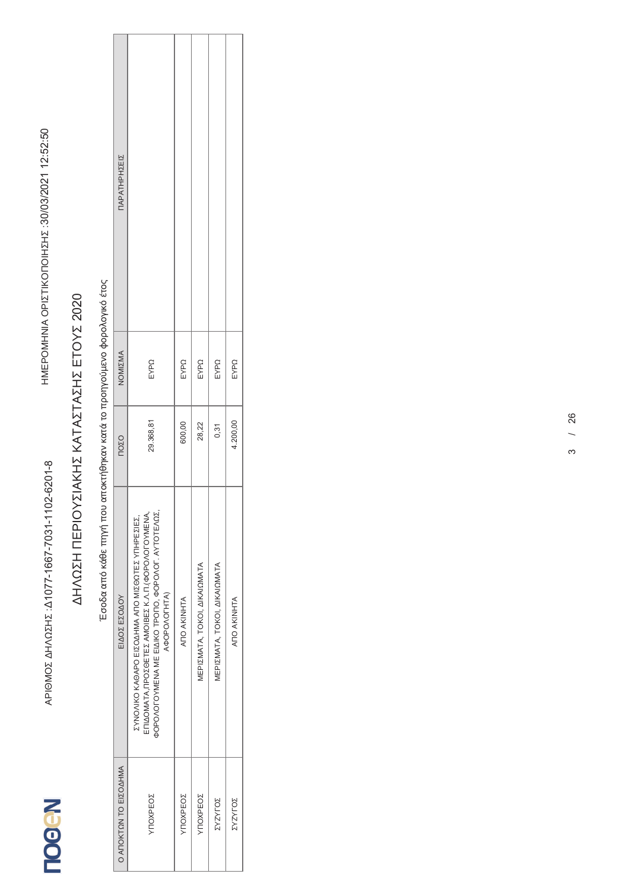## Έσοδα από κάθε πηγή που αποκτήθηκαν κατά το προηγούμενο φορολογικό έτος

| <b>ΠΑΡΑΤΗΡΗΣΕΙΣ</b>   |                                                                                                                                                                               |             |                              |                              |                |  |
|-----------------------|-------------------------------------------------------------------------------------------------------------------------------------------------------------------------------|-------------|------------------------------|------------------------------|----------------|--|
| NOMIZMA               | EYPQ                                                                                                                                                                          | EYPQ        | EYPQ                         | EYPQ                         | EYPQ           |  |
| <b>NOZO</b>           | 29.368,81                                                                                                                                                                     | 600,00      | 28,22                        | 0,31                         | 4.200,00       |  |
| ΕΙΔΟΣ ΕΣΟΔΟΥ          | ΕΠΙΔΟΜΑΤΑ, ΠΡΟΣΘΕΤΕΣ ΑΜΟΙΒΕΣ Κ.Λ.Π. (ΦΟΡΟΛΟΓΟΥΜΕΝΑ,<br>ΦΟΡΟΛΟΓΟΥΜΕΝΑ ΜΕ ΕΙΔΙΚΟ ΤΡΟΠΟ, ΦΟΡΟΛΟΓ. ΑΥΤΟΤΕΛΩΣ,<br>ΣΥΝΟΛΙΚΟ ΚΑΘΑΡΟ ΕΙΣΟΔΗΜΑ ΑΠΟ ΜΙΣΘΩΤΕΣ ΥΠΗΡΕΣΙΕΣ,<br>A4OPOAOTHTA) | ANO AKINHTA | ΜΕΡΙΣΜΑΤΑ, ΤΟΚΟΙ, ΔΙΚΑΙΩΜΑΤΑ | ΜΕΡΙΣΜΑΤΑ, ΤΟΚΟΙ, ΔΙΚΑΙΩΜΑΤΑ | ANO AKINHTA    |  |
| Ο ΑΠΟΚΤΩΝ ΤΟ ΕΙΣΟΔΗΜΑ | YNOXPEOZ                                                                                                                                                                      | YNOXPEOZ    | YNOXPEOZ                     | <b>ZASALOZ</b>               | <b>ZASALOZ</b> |  |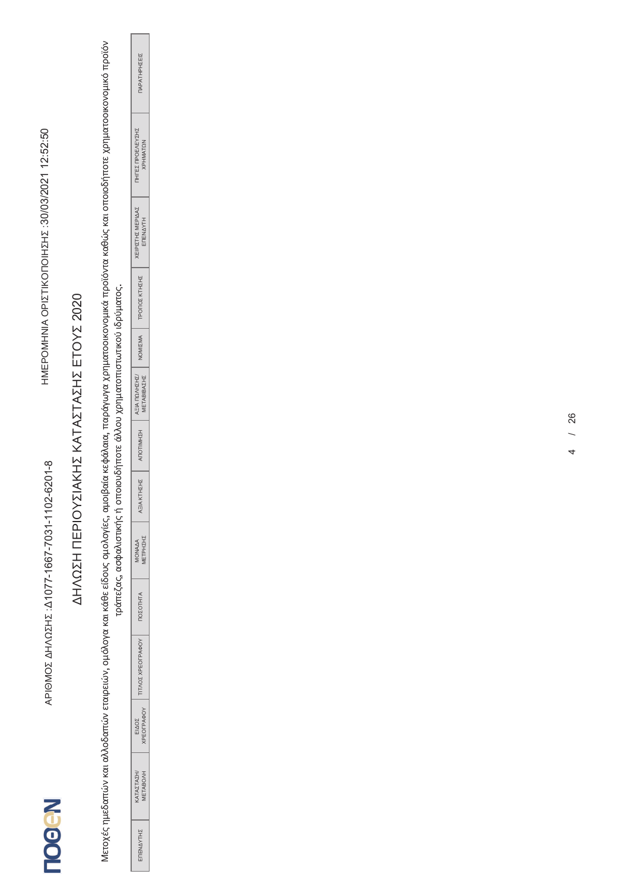Μετοχές ημεδαπών και αλλοδαπών εταιρειών, ομόλογα και κάθε είδους ομολογίες, αμοιβαία κεφάλαια, παράγωγα χρηματομένα που καθώς και οποιοδήποτε χρηματοοικονομικό προϊόν<br>Τράπεζας, ασφαλιστικής ή στουδήπος προσταθματικής πολ

| ΕΣ ΠΡΟΕΛΕΥΣΙ<br>PHMATQN                 |  |
|-----------------------------------------|--|
| <b>ΧΕΙΡΙΣΤΗΣ ΜΕΡΙΔΑ.</b><br><b>NNVF</b> |  |
| <b>ΟΠΟΣ ΚΤΗΣΗΣ</b><br>.<br>C            |  |
| NOMIZMA                                 |  |
| A = IA NONHEN<br><b>ABIBAZHZ</b>        |  |
| <b>HZHMILOLI</b>                        |  |
| IA KTHZHZ<br>ī,                         |  |
| ETPHINI<br><b>MONAAA</b>                |  |
| <b>ALHID 30</b>                         |  |
| <b>DAQ</b><br>U<br>X                    |  |
| PEOFPAOOY<br>ZOQI                       |  |
| ATAZTAZH'<br><b>ETABOAH</b>             |  |
| Î<br>4<br>N                             |  |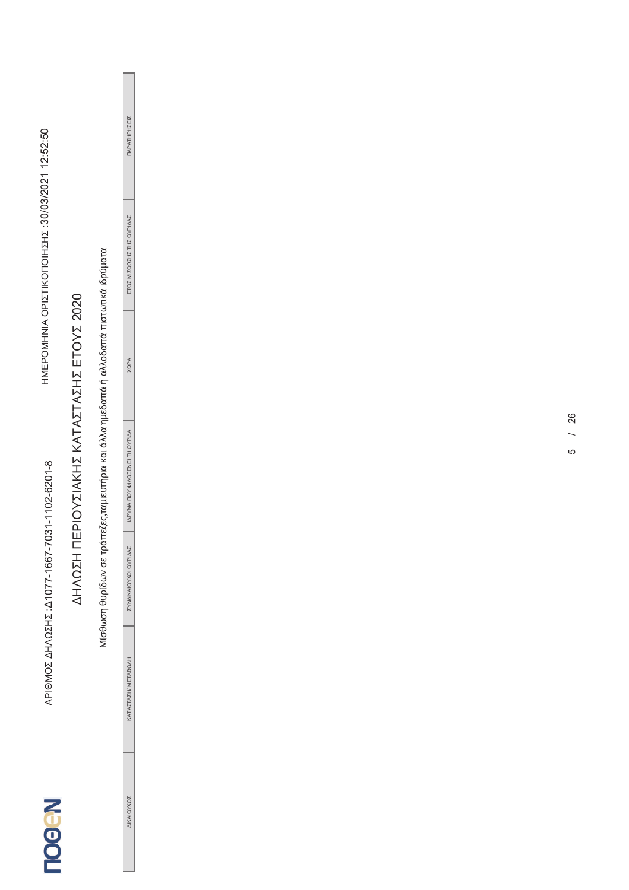|                                                |                                           |                                                                                        | ΠΑΡΑΤΗΡΗΣΕΙΣ                   |  |
|------------------------------------------------|-------------------------------------------|----------------------------------------------------------------------------------------|--------------------------------|--|
| HMEPOMHNIA OPIZTIKONOHIZHZ:30/03/2021 12:52:50 |                                           |                                                                                        | ΕΤΟΣ ΜΙΣΘΩΣΗΣ ΤΗΣ ΘΥΡΙΔΑΣ      |  |
|                                                |                                           |                                                                                        | <b>XQPA</b>                    |  |
|                                                | ΔΗΛΩΣΗ ΠΕΡΙΟΥΣΙΑΚΗΣ ΚΑΤΑΣΤΑΣΗΣ ΕΤΟΥΣ 2020 | Μίσθωση θυρίδων σε τράπεζες,ταμιευτήρια και άλλα ημεδαπά ή αλλοδαπά πιστωτικά ιδρύματα | ΙΔΡΥΜΑ ΠΟΥ ΦΙΛΟΞΕΝΕΙ ΤΗ ΘΥΡΙΔΑ |  |
| APIOMOZ AHAQZHZ : A1077-1667-7031-1102-6201-8  |                                           |                                                                                        | ΣΥΝΔΙΚΑΙΟΥΧΟΙ ΘΥΡΙΔΑΣ          |  |
|                                                |                                           |                                                                                        | KATAZTAZH/ METABONH            |  |
| <b>Neoou</b>                                   |                                           |                                                                                        | ΔΙΚΑΙΟΥΧΟΣ                     |  |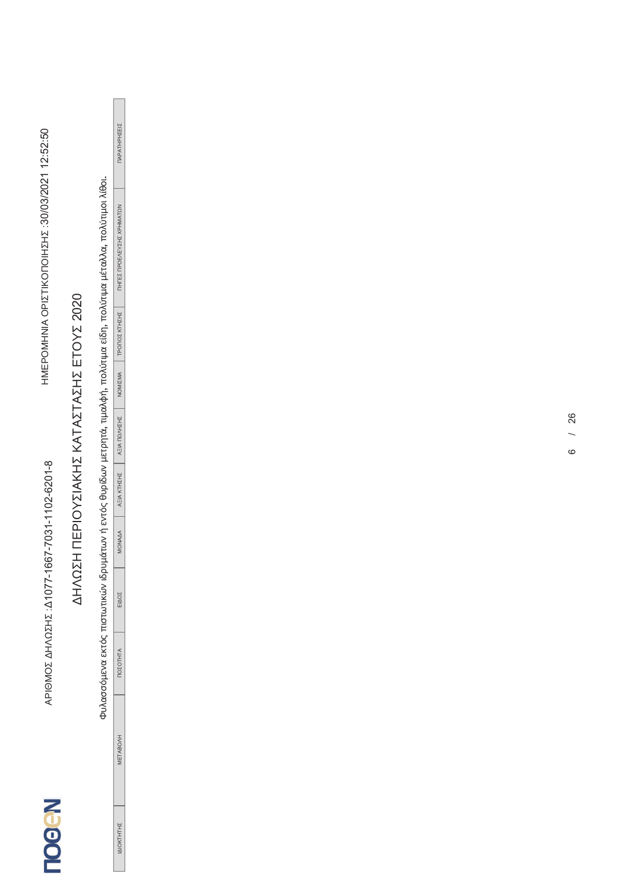# Φυλασσόμενα εκτός πιστωτικών ιδρυμάτων ή εντός θυρίδων μετρητά, τιμαλφή, πολύτιμα είδη, πολύτιμα μέταλλα, πολύτιμοι λίθοι.

| HZEIZ<br>Ï<br>í<br>HIAPATH                      |  |
|-------------------------------------------------|--|
| <b>ATON</b><br>١<br>ı<br>ì<br><b>THLES LIFY</b> |  |
| HZHZ<br>$\frac{1}{2}$<br>Ē                      |  |
| NOMIZMA                                         |  |
| <b>AEIA ΠΩΛΗΣΗΣ</b>                             |  |
| AEIA KTHIHE                                     |  |
| MONAAA                                          |  |
| 200 <sup>2</sup>                                |  |
| <b>JEOTHT</b>                                   |  |
| ETABO.                                          |  |
|                                                 |  |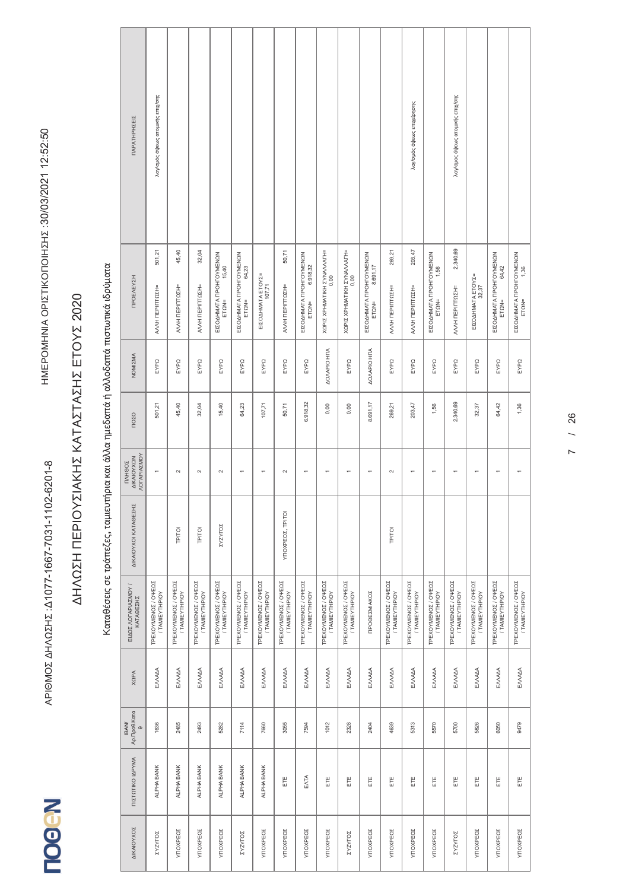# Καταθέσεις σε τράπεζες, ταμιευτήρια και άλλα ημεδαπά ή αλλοδαπά πιστωτικά ιδρύματα

| ΠΑΡΑΤΗΡΗΣΕΙΣ                                             | λογ/σμός όψεως ατομικής επιχ/σης      |                                       |                                       |                                            |                                           |                                        |                                       |                                                       |                                       |                                        |                                              |                                        | λογ/σμός όψεως επιχείρησης            |                                          | λογίσμος όψεως ατομικής επιχίσης      |                                        |                                            |                                          |
|----------------------------------------------------------|---------------------------------------|---------------------------------------|---------------------------------------|--------------------------------------------|-------------------------------------------|----------------------------------------|---------------------------------------|-------------------------------------------------------|---------------------------------------|----------------------------------------|----------------------------------------------|----------------------------------------|---------------------------------------|------------------------------------------|---------------------------------------|----------------------------------------|--------------------------------------------|------------------------------------------|
| <b>TIPOEAEYZH</b>                                        | 501,21<br>ΑΛΛΗ ΠΕΡΙΠΤΩΣΗ=             | 45,40<br>ΑΛΛΗ ΠΕΡΙΠΤΩΣΗ=              | 32,04<br>ΑΛΛΗ ΠΕΡΙΠΤΩΣΗ=              | ΕΙΣΟΔΗΜΑΤΑ ΠΡΟΗΓΟΥΜΕΝΩΝ<br>15,40<br>ET QN= | ΕΙΣΟΔΗΜΑΤΑ ΠΡΟΗΓΟΥΜΕΝΩΝ<br>ΕΤΩΝ=<br>ΕΤΩΝ= | ΕΙΣΟΔΗΜΑΤΑ ΕΤΟΥΣ=<br>107,71            | 50,71<br>ΑΛΛΗ ΠΕΡΙΠΤΩΣΗ=              | ΕΙΣΟΔΗΜΑΤΑ ΠΡΟΗΓΟΥΜΕΝΩΝ<br>6.918,32<br>$ET\Omega N$ = | ΧΩΡΙΣ ΧΡΗΜΑΤΙΚΗ ΣΥΝΑΛΛΑΓΗ=<br>0,00    | ΧΩΡΙΣ ΧΡΗΜΑΤΙΚΗ ΣΥΝΑΛΛΑΓΗ=<br>0,00     | ΕΙΣΟΔΗΜΑΤΑ ΠΡΟΗΓΟΥΜΕΝΩΝ<br>8.691,17<br>ETON= | 269,21<br>ΑΛΛΗ ΠΕΡΙΠΤΩΣΗ=              | 203,47<br>ΑΛΛΗ ΠΕΡΙΠΤΩΣΗ=             | ΕΙΣΟΔΗΜΑΤΑ ΠΡΟΗΓΟΥΜΕΝΩΝ<br>ΕΤΩΝ=<br>1,56 | 2.340,69<br>ΑΛΛΗ ΠΕΡΙΠΤΩΣΗ=           | ΕΙΣΟΔΗΜΑΤΑ ΕΤΟΥΣ=<br>32,37             | ΕΙΣΟΔΗΜΑΤΑ ΠΡΟΗΓΟΥΜΕΝΩΝ<br>64,42<br>ET QN= | ΕΙΣΟΔΗΜΑΤΑ ΠΡΟΗΓΟΥΜΕΝΩΝ<br>ΕΤΩΝ=<br>1,36 |
| NOMIZMA                                                  | EYPQ                                  | EYPQ                                  | EYPQ                                  | EYPQ                                       | EYPQ                                      | EYPQ                                   | EYPQ                                  | EYPQ                                                  | <b>AO/APIO HTA</b>                    | EYPQ                                   | <b>AOVAPIO HTA</b>                           | EYPQ                                   | EYPQ                                  | EYPQ                                     | EYPQ                                  | EYPQ                                   | EYPQ                                       | EYPQ                                     |
| ΠΟΣΟ                                                     | 501,21                                | 45,40                                 | 32,04                                 | 15,40                                      | 64,23                                     | 107,71                                 | 50,71                                 | 6.918,32                                              | 0,00                                  | 0,00                                   | 8.691,17                                     | 269,21                                 | 203,47                                | 1,56                                     | 2.340,69                              | 32,37                                  | 64,42                                      | 1,36                                     |
| <b>NOTAPIAZMOY</b><br><b>AIKAIOYXON</b><br><b>TAHOOZ</b> | $\overline{\phantom{0}}$              | $\sim$                                | $\sim$                                | $\sim$                                     | $\overline{ }$                            | ٣                                      | $\sim$                                | ٣                                                     | ٣                                     |                                        | $\overline{ }$                               | $\sim$                                 | $\overline{\phantom{0}}$              | $\overline{\phantom{0}}$                 | $\overline{ }$                        | $\overline{ }$                         | $\overline{\phantom{0}}$                   |                                          |
| ΔΙΚΑΙΟΥΧΟΙ ΚΑΤΑΘΕΣΗΣ                                     |                                       | TPITOI                                | TPITOI                                | ΣΥΖΥΓΟΣ                                    |                                           |                                        | ΥΠΟΧΡΕΟΣ, ΤΡΙΤΟΙ                      |                                                       |                                       |                                        |                                              | TPITOI                                 |                                       |                                          |                                       |                                        |                                            |                                          |
| ΕΙΔΟΣ ΛΟΓΑΡΙΑΣΜΟΥ /<br>KATAGEZHZ                         | TPEXOYMENOZ / OYEQZ<br>/ TAMIEYTHPIOY | TPEXOYMENOZ / OYEQZ<br>/ TAMIEYTHPIOY | TPEXOYMENOZ / OYEQZ<br>/ TAMIEYTHPIOY | ΤΡΕΧΟΥΜΕΝΟΣ / ΟΨΕΩΣ<br>/ TAMIEYTHPIOY      | TPEXOYMENO Z / OYEQZ<br>/ TAMIEYTHPIOY    | TPEXOYMENO Z / OYEQZ<br>/ TAMIEYTHPIOY | ΤΡΕΧΟΥΜΕΝΟΣ / ΟΨΕΩΣ<br>/ TAMIEYTHPIOY | TPEXOYMENOZ / OVEΩΣ<br>/ TAMIEYTHPIOY                 | ΤΡΕΧΟΥΜΕΝΟΣ / ΟΨΕΩΣ<br>/ TAMIEYTHPIOY | TPEXOYMENO Z / OYEQZ<br>/ TAMIEYTHPIOY | ΠΡΟΘΕΣΜΙΑΚΟΣ                                 | TPEXOYMENO Z / OYEQZ<br>/ TAMIEYTHPIOY | TPEXOYMENOZ / OYEQZ<br>/ TAMIEYTHPIOY | TPEXOYMENO Z / OYEQZ<br>/ TAMIEYTHPIOY   | TPEXOYMENOZ / OYEQZ<br>/ TAMIEYTHPIOY | TPEXOYMENO E / OYEQE<br>/ TAMIEYTHPIOY | TPEXOYMENOZ / OYEQZ<br>/ TAMIEYTHPIOY      | ΤΡΕΧΟΥΜΕΝΟΣ / ΟΨΕΩΣ<br>/ ΤΑΜΙΕΥΤΗΡΙΟΥ    |
| <b>XQPA</b>                                              | EMAMA                                 | EMAAA                                 | ENAAA                                 | EMAMA                                      | EMAAA                                     | EMAAA                                  | EMAAA                                 | EMAAA                                                 | ENNAM                                 | EMAAA                                  | EMAAA                                        | EMAMA                                  | EMAAA                                 | EMAAA                                    | EMAAA                                 | EMAAA                                  | EMAAA                                      | EMAAA                                    |
| Αρ.Προθ.Κατα<br>θ<br><b>IBAN/</b>                        | 1636                                  | 2485                                  | 2493                                  | 5282                                       | 7114                                      | 7660                                   | 3055                                  | 7594                                                  | 1012                                  | 2328                                   | 2404                                         | 4639                                   | 5313                                  | 5570                                     | 5700                                  | 5826                                   | 6050                                       | 9479                                     |
| ΠΙΣΤΩΤΙΚΟ ΙΔΡΥΜΑ                                         | ALPHA BANK                            | ALPHA BANK                            | ALPHA BANK                            | ALPHA BANK                                 | ALPHA BANK                                | ALPHA BANK                             | Ë                                     | ENTA                                                  | Ë                                     | Ë                                      | Ë                                            | Ë                                      | Ë                                     | Ë                                        | Ë                                     | Ë                                      | Ë                                          | Ë                                        |
| ΔΙΚΑΙΟΥΧΟΣ                                               | ΣΥΖΥΓΟΣ                               | YTIOXPEOZ                             | YTIOXPEOZ                             | YTIOXPEOZ                                  | <b>ZASALOZ</b>                            | YTIOXPEOZ                              | YTIOXPEO <sub>Σ</sub>                 | YTIOXPEOZ                                             | YTIOXPEOZ                             | ΣΥΖΥΓΟΣ                                | YTOXPEOZ                                     | YTOXPEO <sub>Σ</sub>                   | YTOXPEOZ                              | YTIOXPEOZ                                | ΣΥΖΥΓΟΣ                               | YTIOXPEOZ                              | YTIOXPEO <sub>Σ</sub>                      | YTIOXPEO <sub>Σ</sub>                    |
|                                                          |                                       |                                       |                                       |                                            |                                           |                                        |                                       |                                                       |                                       |                                        |                                              |                                        |                                       |                                          |                                       |                                        |                                            |                                          |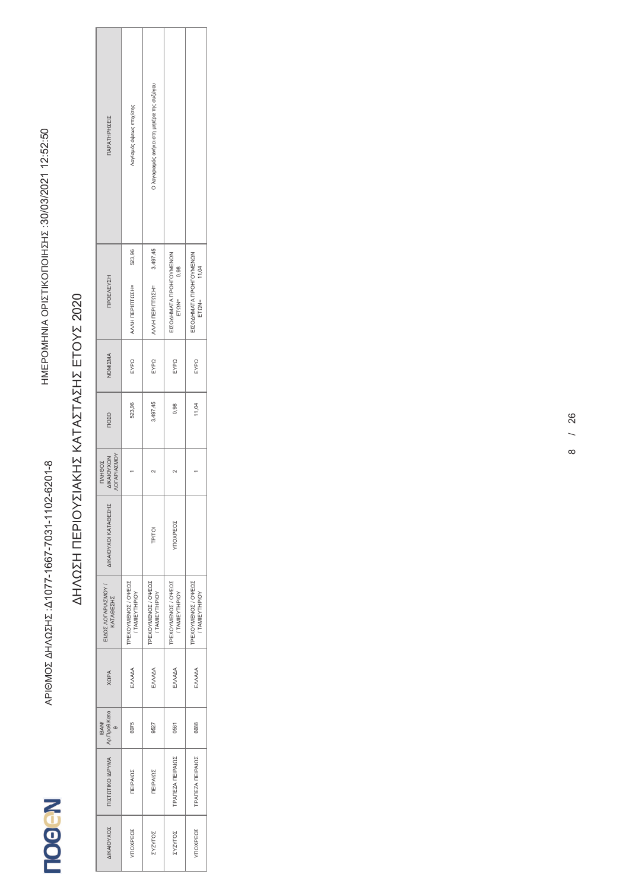

| ΠΑΡΑΤΗΡΗΣΕΙΣ                                             | Λογ/σμός όψεως επιχ/σης                    | Ο λογαριαμός ανήκει στη μητέρα της συζύγου |                                                 |                                                 |
|----------------------------------------------------------|--------------------------------------------|--------------------------------------------|-------------------------------------------------|-------------------------------------------------|
|                                                          | 523,96                                     |                                            |                                                 |                                                 |
| <b>TIPOEAEYZH</b>                                        | ΑΛΛΗ ΠΕΡΙΠΤΩΣΗ=                            | AVVH TEPITITOZH= 3.497,45                  | EIZOAHMATA ITPOHIOYMENON<br>$ET\Omega N = 0,98$ | ΕΙΣΟΔΗΜΑΤΑ ΠΡΟΗΓΟΥΜΕΝΩΝ<br>$ET\Omega N = 11,04$ |
| NOMIZMA                                                  | EYPQ                                       | EYPQ                                       | EYPQ                                            | EYPQ                                            |
| <b>NOZO</b>                                              | 523,96                                     | 3.497,45                                   | 0,98                                            | 11,04                                           |
| <b>NOTAPIAZMOY</b><br><b>AIKAIOYXON</b><br><b>TAHOOZ</b> |                                            |                                            |                                                 |                                                 |
| ΔΙΚΑΙΟΥΧΟΙ ΚΑΤΑΘΕΣΗΣ                                     |                                            | TPITOI                                     | YTIOXPEOZ                                       |                                                 |
| ΕΙΔΟΣ ΛΟΓΑΡΙΑΣΜΟΥ /<br>ΚΑΤΑΘΕΣΗΣ                         | <b>TPEXOYMENOZ/OYEQS</b><br>/ TAMIEYTHPIOY | TPEXOYMENOZ / OYEQZ<br>/ TAMIEYTHPIOY      | TPEXOYMENOZ / OYEQZ<br>/ TAMIEYTHPIOY           | TPEXOYMENOZ / OYEQZ<br>/ TAMIEYTHPIOY           |
| <b>AdDX</b>                                              | ENAMA                                      | ENNAM                                      | ENAAA                                           | ENNAM                                           |
| Αρ.Προθ.Κατα<br><b>IBAN/</b>                             | 6975                                       | 9527                                       | 0581                                            | 6688                                            |
| ΠΙΣΤΩΤΙΚΟ ΙΔΡΥΜΑ                                         | <b><i>ΠΕΙΡΑΙΩΣ</i></b>                     | <b>ΠΕΙΡΑΙΩΣ</b>                            | <b>TPANEZA NEIPAIQS</b>                         | <b>TPANEZA NEIPAIQS</b>                         |
| ΔΙΚΑΙΟΥΧΟΣ                                               | YNOXPEOZ                                   | ΣΥΖΥΓΟΣ                                    | <b>ZASALOZ</b>                                  | <b>YITO XPEOZ</b>                               |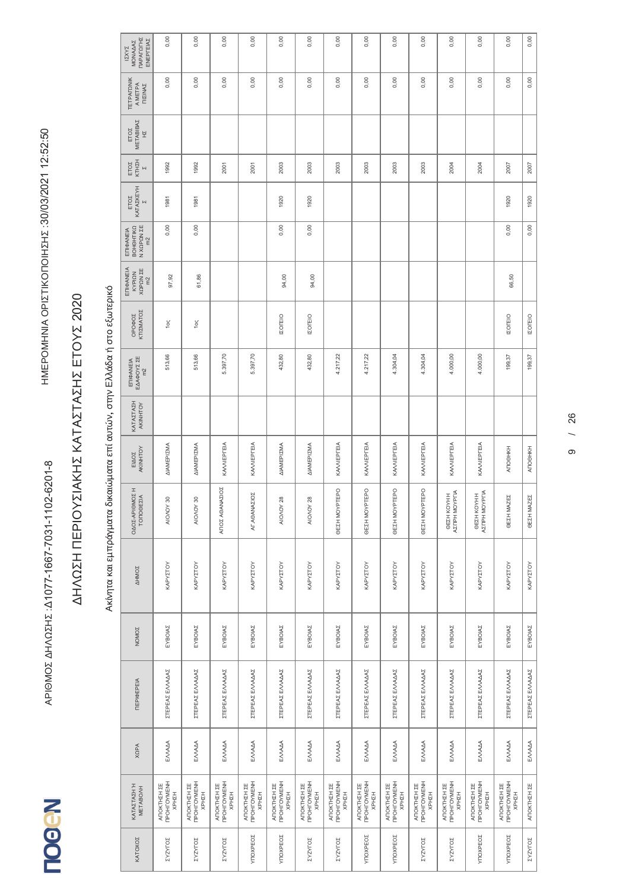दे IGMOZ AHA 02Hz : 41077-1667-7031-1102-6201-8

**N-GOOL** 

#### $\leq$ ΩΣΗ ΠΕΡ<br>-ΙΟΥΣΙΑΚΗΣ ΚΑΤΑΣΤΑΣΗΣ ΕΤΟΥΣ 2020

### Ακίνητα και εμπράγματα δικαιώματα επί αυτών, στην Ελλάδα ή στο εξωτερικό Ακίνητα και εμπράγματα δικαιώματα επί αυτών, στην Ελλάδα ή στο εξωτερικό

| ΠΑΡΑΓΩΓΗΣ<br>ΕΝΕΡΓΕΙΑΣ<br>MONAAAZ<br><b>IZXYZ</b>      | 0,00                                       | 0,00                                | 0,00                                               | 0,00                                | 0,00                               | 0,00                                              | 0,00                                       | 0,00                                      | 0,00                                              | 0,00                                | 0,00                                       | 0,00                                | 0,00                               | 0,00                |
|--------------------------------------------------------|--------------------------------------------|-------------------------------------|----------------------------------------------------|-------------------------------------|------------------------------------|---------------------------------------------------|--------------------------------------------|-------------------------------------------|---------------------------------------------------|-------------------------------------|--------------------------------------------|-------------------------------------|------------------------------------|---------------------|
| <b><i>TETPAFONIK</i></b><br>A METPA<br><b>ΠΙΣΙΝΑΣ</b>  | 0,00                                       | 0,00                                | 0,00                                               | 0,00                                | 0,00                               | 0,00                                              | 0,00                                       | 0,00                                      | 0,00                                              | 0,00                                | 0,00                                       | 0,00                                | 0,00                               | 0,00                |
| METABIBAZ<br>ETOZ<br>E                                 |                                            |                                     |                                                    |                                     |                                    |                                                   |                                            |                                           |                                                   |                                     |                                            |                                     |                                    |                     |
| ETOZ<br>KTHZH<br>$\overline{M}$                        | 1992                                       | 1992                                | 2001                                               | 2001                                | 2003                               | 2003                                              | 2003                                       | 2003                                      | 2003                                              | 2003                                | 2004                                       | 2004                                | 2007                               | 2007                |
| ΚΑΤΑΣΚΕΥΗ<br>ETOZ<br>$\overline{\mathsf{N}}$           | 1981                                       | 1981                                |                                                    |                                     | 1920                               | 1920                                              |                                            |                                           |                                                   |                                     |                                            |                                     | 1920                               | 1920                |
| Ν ΧΩΡΩΝ ΣΕ<br>ВОНОНТІКО<br>ΕΠΙΦΑΝΕΙΑ<br>m <sup>2</sup> | 0,00                                       | 0,00                                |                                                    |                                     | 0,00                               | 0,00                                              |                                            |                                           |                                                   |                                     |                                            |                                     | 0,00                               | 0,00                |
| ΕΠΙΦΑΝΕΙΑ<br>XQPQN ZE<br>KYPIQN<br>m2                  | 97,92                                      | 61,86                               |                                                    |                                     | 94,00                              | 94,00                                             |                                            |                                           |                                                   |                                     |                                            |                                     | 66,50                              |                     |
| KTIZMATOZ<br>OPOФOZ                                    | 1ος                                        | 10                                  |                                                    |                                     | <b>IZOFEIO</b>                     | <b>IZOTEIO</b>                                    |                                            |                                           |                                                   |                                     |                                            |                                     | <b>IZOLEIO</b>                     | <b>IZOFEIO</b>      |
| ΕΠΙΦΑΝΕΙΑ<br>ΕΔΑΦΟΥΣ ΣΕ<br>m <sup>2</sup>              | 513,66                                     | 513,66                              | 5.397,70                                           | 5.397,70                            | 432,80                             | 432,80                                            | 4.217,22                                   | 4.217,22                                  | 4.304,04                                          | 4.304,04                            | 4.000,00                                   | 4.000,00                            | 199,37                             | 199,37              |
| KATAZTAZH<br>AKINHTOY                                  |                                            |                                     |                                                    |                                     |                                    |                                                   |                                            |                                           |                                                   |                                     |                                            |                                     |                                    |                     |
| AKINHTOY<br>EIAOZ                                      | ΔΙΑΜΕΡΙΣΜΑ                                 | ΔΙΑΜΕΡΙΣΜΑ                          | KA/VIEPΓEIA                                        | KAVVIEPIEIA                         | ΔΙΑΜΕΡΙΣΜΑ                         | ΔΙΑΜΕΡΙΣΜΑ                                        | KA/VIEPΓEIA                                | KA/VIEPΓEIA                               | KA/VIEPΓEIA                                       | KA/VIEPΓEIA                         | KA/VIEPΓEIA                                | KA/VIEPΓEIA                         | ANOOHKH                            | <b>ANOOHKH</b>      |
| ΟΔΟΣ-ΑΡΙΘΜΟΣΗ<br><b>TONOGEZIA</b>                      | AIO/OY 30                                  | AIO/OY 30                           | ΑΓΙΟΣ ΑΘΑΝΑΣΙΟΣ                                    | <b>SOI</b><br>AF AOANAZI            | AIO/OY 28                          | AIO/OY 28                                         | EPO<br><b>GEZH MOYPT</b>                   | EPO<br><b>GEZH MOYPT</b>                  | EPO<br><b>GEZH MOYPT</b>                          | EPO<br><b>GEZH MOYPT</b>            | ΘΕΣΗ ΚΟΥΗ Η<br>ΑΣΠΡΗ ΜΟΥΡΓΙΑ               | ΘΕΣΗ ΚΟΥΗ Η<br>ΑΣΠΡΗ ΜΟΥΡΓΙΑ        | ΘΕΣΗ ΜΑΖΕΣ                         | ΘΕΣΗ ΜΑΖΕΣ          |
| <b>AHMOZ</b>                                           | KAPYZTOY                                   | ΚΑΡΥΣΤΟΥ                            | ΚΑΡΥΣΤΟΥ                                           | KAPYZTOY                            | KAPYZTOY                           | KAPYZTOY                                          | KAPYZTOY                                   | KAPYZTOY                                  | KAPYZTOY                                          | KAPYZTOY                            | KAPYZTOY                                   | ΚΑΡΥΣΤΟΥ                            | ΚΑΡΥΣΤΟΥ                           | KAPYZTOY            |
| NOMOZ                                                  | EYBOIAZ                                    | EYBOIAZ                             | EYBOIAZ                                            | EYBOIAZ                             | EYBOIAZ                            | EYBOIAZ                                           | EYBOIAZ                                    | EYBOIAZ                                   | EYBOIAZ                                           | EYBOIAZ                             | EYBOIAZ                                    | EYBOIAZ                             | EYBOIAZ                            | EYBOIAZ             |
| <b>TEPIOEPEIA</b>                                      | ΣΤΈΡΕΑΣ ΕΛΛΑΔΑΣ                            | ΣΤΈΡΕΑΣ ΕΛΛΑΔΑΣ                     | ΣΤΈΡΕΑΣ ΕΛΛΑΔΑΣ                                    | ΣΤΈΡΕΑΣ ΕΛΛΑΔΑΣ                     | ΣΤΈΡΕΑΣ ΕΛΛΑΔΑΣ                    | ΣΤΈΡΕΑΣ ΕΛΛΑΔΑΣ                                   | ΣΤΈΡΕΑΣ ΕΛΛΑΔΑΣ                            | ΣΤΈΡΕΑΣ ΕΛΛΑΔΑΣ                           | ΣΤΈΡΕΑΣ ΕΛΛΑΔΑΣ                                   | ΣΤΈΡΕΑΣ ΕΛΛΑΔΑΣ                     | ΣΤΈΡΕΑΣ ΕΛΛΑΔΑΣ                            | ΣΤΈΡΕΑΣ ΕΛΛΑΔΑΣ                     | ΣΤΈΡΕΑΣ ΕΛΛΑΔΑΣ                    | ΣΤΈΡΕΑΣ ΕΛΛΑΔΑΣ     |
| <b>XQPA</b>                                            | EMAAA                                      | ENNADA                              | EMAAA                                              | ENNAA                               | EMAAA                              | EMAAA                                             | EMAAA                                      | EMAAA                                     | EMAAA                                             | EMAAA                               | EMAAA                                      | ENNAA                               | ENNAA                              | EMAAA               |
| ΚΑΤΑΣΤΑΣΗ Ή<br>METABOAH                                | ANOKTHEH EE<br>NPOHTOYMENH<br><b>KPHZH</b> | ANOKTHEH EE<br>NPOHTOYMENH<br>KPHZH | <b>TPOHFOYMENH</b><br><b>ATIOKTHEH ΣΕ</b><br>КРН2Н | ANOKTHEH EE<br>NPOHTOYMENH<br>HZHZH | ΑΠΟΚΤΗΣΗ ΣΕ<br>ΠΡΟΗΓΟΥΜΕΝΗ<br>HZHZ | <b>TPOHFOYMENH</b><br><b>ANOKTHEH ΣΕ</b><br>KPHIH | ANOKTHEH EE<br>NPOHTOYMENH<br><b>KPHZH</b> | <b>TPOHFOYMENH</b><br>ΑΠΟΚΤΗΣΗ ΣΕ<br>HZHZ | <b>TPOHFOYMENH</b><br><b>ANOKTHEH ΣΕ</b><br>ХРНΣН | ΑΠΟΚΤΗΣΗ ΣΕ<br>ΠΡΟΗΓΟΥΜΕΝΗ<br>KPHZH | <b>TPOHFOYMENH</b><br>ΑΠΟΚΤΗΣΗ ΣΕ<br>KPHZH | ΑΠΟΚΤΗΣΗ ΣΕ<br>ΠΡΟΗΓΟΥΜΕΝΗ<br>KPHZH | ΑΠΟΚΤΗΣΗ ΣΕ<br>ΠΡΟΗΓΟΥΜΕΝΗ<br>HZHZ | <b>ATIOKTHEH ΣΕ</b> |
| KATOXOZ                                                | ΣΥΖΥΓΟΣ                                    | ΣΥΖΥΓΟΣ                             | ΣΥΖΥΓΟΣ                                            | YTIOXPEOZ                           | YTIOXPEO <sub>Σ</sub>              | ΣΥΖΥΓΟΣ                                           | <b>ZASALOZ</b>                             | YTIOXPEO <sub>Σ</sub>                     | YTIOXPEO <sub>Σ</sub>                             | ΣΥΖΥΓΟΣ                             | <b>ZASALOZ</b>                             | YTOXPEO <sub>Σ</sub>                | YTIOXPEOZ                          | <b>ZASALOZ</b>      |
|                                                        |                                            |                                     |                                                    |                                     |                                    |                                                   |                                            |                                           |                                                   |                                     |                                            |                                     |                                    |                     |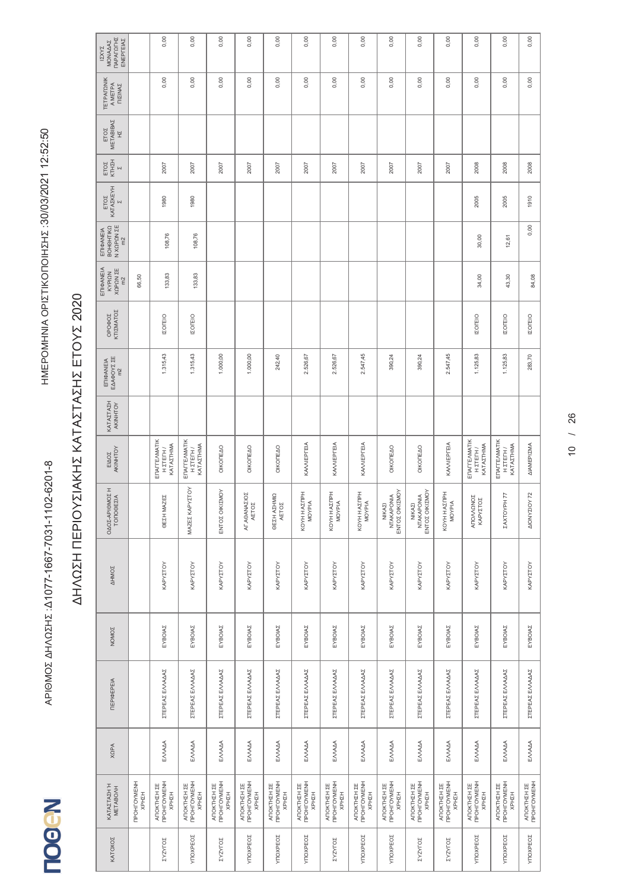**NegoLI** 

#### $\leq$ ΩΣΗ ΠΕΡ<br>-ΙΟΥΣΙΑΚΗΣ ΚΑΤΑΣΤΑΣΗΣ ΕΤΟΥΣ 2020

| <b><i>ΠΑΡΑΓΩΓΗΣ</i></b><br>ENEPTEIAZ<br>MONAAAZ<br><b>IZXYZ</b> |                            | 0,00                                   | 0,00                                       | 0,00                                              | 0,00                                | 0,00                                       | 0,00                               | 0,00                                              | 0,00                                       | 0,00                                   | 0,00                                       | 0,00                                                     | 0,00                                   | 0,00                                   | 0,00                       |
|-----------------------------------------------------------------|----------------------------|----------------------------------------|--------------------------------------------|---------------------------------------------------|-------------------------------------|--------------------------------------------|------------------------------------|---------------------------------------------------|--------------------------------------------|----------------------------------------|--------------------------------------------|----------------------------------------------------------|----------------------------------------|----------------------------------------|----------------------------|
| <b><i>TETPAFONIK</i></b><br>A METPA<br><b>NIZINAZ</b>           |                            | 0,00                                   | 0,00                                       | 0,00                                              | 0,00                                | 0,00                                       | 0,00                               | 0,00                                              | 0,00                                       | 0,00                                   | 0,00                                       | 0,00                                                     | 0,00                                   | 0,00                                   | 0,00                       |
| METABIBAZ<br>ETOZ<br>H                                          |                            |                                        |                                            |                                                   |                                     |                                            |                                    |                                                   |                                            |                                        |                                            |                                                          |                                        |                                        |                            |
| КТНІН<br>ETOZ<br>$\overline{\mathsf{N}}$                        |                            | 2007                                   | 2007                                       | 2007                                              | 2007                                | 2007                                       | 2007                               | 2007                                              | 2007                                       | 2007                                   | 2007                                       | 2007                                                     | 2008                                   | 2008                                   | 2008                       |
| <b>KATAZKEYH</b><br>ETOZ<br>$\overline{\mathsf{N}}$             |                            | 1980                                   | 1980                                       |                                                   |                                     |                                            |                                    |                                                   |                                            |                                        |                                            |                                                          | 2005                                   | 2005                                   | 1910                       |
| Ν ΧΩΡΩΝ ΣΕ<br>ВОНОНТІКО<br>ΕΠΙΦΑΝΕΙΑ<br>$m2$                    |                            | 108,76                                 | 108,76                                     |                                                   |                                     |                                            |                                    |                                                   |                                            |                                        |                                            |                                                          | 30,00                                  | 12,61                                  | 0,00                       |
| ΕΠΙΦΑΝΕΙΑ<br>XQPQN ZE<br>m2<br>KYPIQN                           | 66,50                      | 133,83                                 | 133,83                                     |                                                   |                                     |                                            |                                    |                                                   |                                            |                                        |                                            |                                                          | 34,00                                  | 43,30                                  | 84,08                      |
| ΚΤΙΣΜΑΤΟΣ<br><b>OPO¢OZ</b>                                      |                            | <b>IZOFEIO</b>                         | <b>IZOFEIO</b>                             |                                                   |                                     |                                            |                                    |                                                   |                                            |                                        |                                            |                                                          | <b>IZOFEIO</b>                         | <b>IZOFEIO</b>                         | <b>IZOFEIO</b>             |
| ΕΠΙΦΑΝΕΙΑ<br>ΕΔΑΦΟΥΣ ΣΕ<br>m <sup>2</sup>                       |                            | 1.315,43                               | 1.315,43                                   | 1.000,00                                          | 1.000,00                            | 242,40                                     | 2.526,67                           | 2.526,67                                          | 2.547,45                                   | 390,24                                 | 390,24                                     | 2.547,45                                                 | 1.125,83                               | 1.125,83                               | 283,70                     |
| KATAZTAZH<br>AKINHTOY                                           |                            |                                        |                                            |                                                   |                                     |                                            |                                    |                                                   |                                            |                                        |                                            |                                                          |                                        |                                        |                            |
| ELADE<br>AKINHTOY                                               |                            | ENAITEAMATIK<br>KATAZTHMA<br>Н 2ТЕГН / | ENALTEAMATIK<br>KATAZTHMA<br>Н ΣТЕГН /     | OIKONEAO                                          | OIKONEAO                            | OIKOTEAO                                   | KAVVIEPTEIA                        | KA/VIEPΓEIA                                       | KA/VIEPΓEIA                                | OIKOTEAO                               | OIKONEAO                                   | KA/VIEPΓEIA                                              | ENAITEAMATIK<br>KATAZTHMA<br>H ZTETH / | ENAITEAMATIK<br>ΚΑΤΑΣΤΗΜΑ<br>Н 2ТЕГН / | ΔΙΑΜΕΡΙΣΜΑ                 |
| ΟΔΟΣ-ΑΡΙΘΜΟΣΗ<br><b>TONOGEZIA</b>                               |                            | ΘΕΣΗ ΜΑΖΕΣ                             | ΜΑΖΕΣ ΚΑΡΥΣΤΟΥ                             | ΕΝΤΟΣ ΟΙΚΙΣΜΟΥ                                    | AF AOANAZIOZ<br>AETOZ               | ΟΕΣΗ ΑΣΗΜΙΩ<br>AETOZ                       | KOYHH AZTIPH<br>MOYPIA             | KOYHH AZITPH<br>MOYPIA                            | KOYHH AZITPH<br>MOYPIA                     | ΕΝΤΟΣ ΟΙΚΙΣΜΟΥ<br>NTAKAPONIA<br>NIKAZI | ΕΝΤΟΣ ΟΙΚΙΣΜΟΥ<br>NTAKAPONIA<br>NIKAZ      | KOYHH AZITPH<br>MOYPIA                                   | ΑΠΟΛΛΩΝΟΣ<br>ΚΑΡΥΣΤΟΣ                  | <b>ZAXTOYPH77</b>                      | <b>AIONYZIOY 72</b>        |
| <b>AHMOZ</b>                                                    |                            | KAPYZTOY                               | KAPYZTOY                                   | KAPYZTOY                                          | KAPYZTOY                            | ΚΑΡΥΣΤΟΥ                                   | KAPYZTOY                           | KAPYZTOY                                          | KAPYZTOY                                   | KAPYZTOY                               | ΚΑΡΥΣΤΟΥ                                   | KAPYZTOY                                                 | KAPYZTOY                               | KAPYZTOY                               | KAPYZTOY                   |
| NOMOZ                                                           |                            | EYBOIAZ                                | EYBOIAZ                                    | EYBOIAZ                                           | EYBOIAZ                             | EYBOIAZ                                    | EYBOIAZ                            | EYBOIAZ                                           | EYBOIAZ                                    | EYBOIAZ                                | EYBOIAZ                                    | EYBOIAZ                                                  | EYBOIAZ                                | EYBOIAZ                                | EYBOIAZ                    |
| <b>TEPIOEPEIA</b>                                               |                            | ΣΤΈΡΕΑΣ ΕΛΛΑΔΑΣ                        | ΣΤΈΡΕΑΣ ΕΛΛΑΔΑΣ                            | ΣΤΈΡΕΑΣ ΕΛΛΑΔΑΣ                                   | ΣΤΈΡΕΑΣ ΕΛΛΑΔΑΣ                     | ΣΤΈΡΕΑΣ ΕΛΛΑΔΑΣ                            | ΣΤΈΡΕΑΣ ΕΛΛΑΔΑΣ                    | ΣΤΈΡΕΑΣ ΕΛΛΑΔΑΣ                                   | ΣΤΈΡΕΑΣ ΕΛΛΑΔΑΣ                            | ΣΤΈΡΕΑΣ ΕΛΛΑΔΑΣ                        | ΣΤΈΡΕΑΣ ΕΛΛΑΔΑΣ                            | ΣΤΈΡΕΑΣ ΕΛΛΑΔΑΣ                                          | ΣΤΈΡΕΑΣ ΕΛΛΑΔΑΣ                        | ΣΤΈΡΕΑΣ ΕΛΛΑΔΑΣ                        | ΣΤΈΡΕΑΣ ΕΛΛΑΔΑΣ            |
| <b>XQPA</b>                                                     |                            | EMAAA                                  | EMAAA                                      | EMAAA                                             | EMAAA                               | EMAAA                                      | ENNAA                              | EMAAA                                             | EMAAA                                      | EMAAA                                  | EMAAA                                      | EMAAA                                                    | EMAAA                                  | EMAAA                                  | EMAAA                      |
| ΚΑΤΑΣΤΑΣΗ Ή<br>ΜΕΤΑΒΟΛΗ                                         | <b>TPOHFOYMENH</b><br>HZHX | ΑΠΟΚΤΗΣΗ ΣΕ<br>ΠΡΟΗΓΟΥΜΕΝΗ<br>КРН2Н    | <b>TPOHFOYMENH</b><br>ΑΠΟΚΤΗΣΗ ΣΕ<br>HZHZH | <b>TPOHFOYMENH</b><br><b>ATOKTHZH ΣΕ</b><br>KPHZH | ΑΠΟΚΤΗΣΗ ΣΕ<br>ΠΡΟΗΓΟΥΜΕΝΗ<br>KPHZH | <b>TPOHFOYMENH</b><br>ΑΠΟΚΤΗΣΗ ΣΕ<br>KPHZH | ΑΠΟΚΤΗΣΗ ΣΕ<br>ΠΡΟΗΓΟΥΜΕΝΗ<br>HZHZ | <b>TPOHFOYMENH</b><br><b>ATOKTHZH ΣΕ</b><br>KPHZH | ΑΠΟΚΤΗΣΗ ΣΕ<br>ΠΡΟΗΓΟΥΜΕΝΗ<br><b>KPHIH</b> | ΑΠΟΚΤΗΣΗ ΣΕ<br>ΠΡΟΗΓΟΥΜΕΝΗ<br>KPHZH    | <b>TPOHFOYMENH</b><br>ΑΠΟΚΤΗΣΗ ΣΕ<br>КРН2Н | <b><i>ПРОНГОУМЕНН</i></b><br><b>ANOKTHEH ΣΕ</b><br>KPHZH | ΑΠΟΚΤΗΣΗ ΣΕ<br>ΠΡΟΗΓΟΥΜΕΝΗ<br>HZHZ     | ΑΠΟΚΤΗΣΗ ΣΕ<br>ΠΡΟΗΓΟΥΜΕΝΗ<br>KPHZH    | ΑΠΟΚΤΗΣΗ ΣΕ<br>ΠΡΟΗΓΟΥΜΕΝΗ |
| KATOXOZ                                                         |                            | ΣΥΖΥΓΟΣ                                | YTIOXPEOZ                                  | ΣΥΖΥΓΟΣ                                           | YTOXPEOZ                            | YTIOXPEOZ                                  | YTIOXPEOZ                          | ΣΥΖΥΓΟΣ                                           | YTOXPEOZ                                   | YTOXPEOZ                               | ΣΥΖΥΓΟΣ                                    | ΣΥΖΥΓΟΣ                                                  | YTOXPEOZ                               | YTOXPEOZ                               | YTOXPEOZ                   |
|                                                                 |                            |                                        |                                            |                                                   |                                     |                                            |                                    |                                                   |                                            |                                        |                                            |                                                          |                                        |                                        |                            |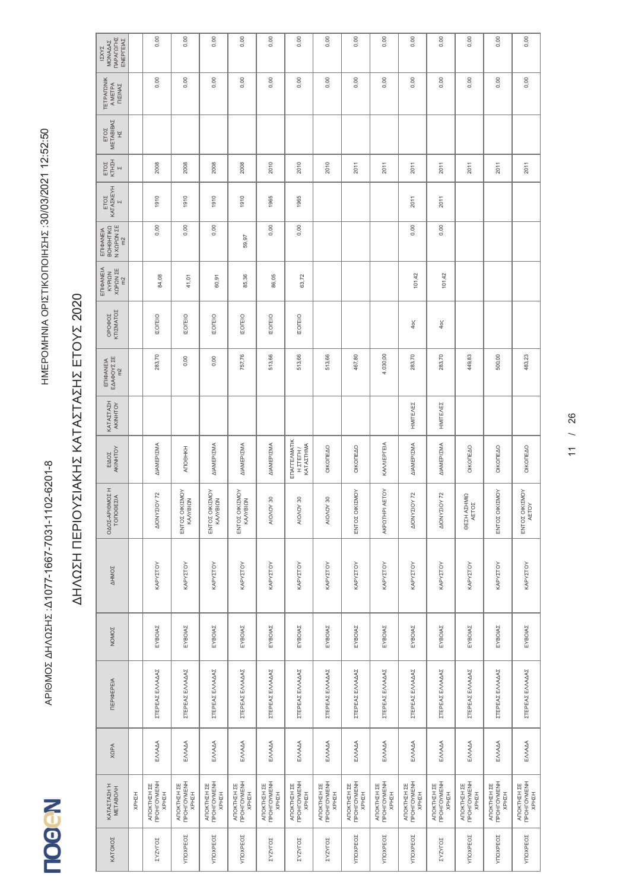| ΠΑΡΑΓΩΓΗΣ<br>ENEPTEIAZ<br>MONAAAZ<br><b>IZXYZ</b> |       | 0,00                                             | 0,00                                | 0,00                                | 0,00                                | 0,00                                | 0,00                                   | 0,00                                       | 0,00                                | 0,00                                        | 0,00                                | 0,00                                | 0,00                                | 0,00                                | 0,00                                |
|---------------------------------------------------|-------|--------------------------------------------------|-------------------------------------|-------------------------------------|-------------------------------------|-------------------------------------|----------------------------------------|--------------------------------------------|-------------------------------------|---------------------------------------------|-------------------------------------|-------------------------------------|-------------------------------------|-------------------------------------|-------------------------------------|
| <b>TETPAFONIK</b><br>A METPA<br>ΠΙΣΙΝΑΣ           |       | 0,00                                             | 0,00                                | 0,00                                | 0,00                                | 0,00                                | 0,00                                   | 0,00                                       | 0,00                                | 0,00                                        | 0,00                                | 0,00                                | 0,00                                | 0,00                                | 0,00                                |
| METABIBAZ<br>ETOZ<br>HZ                           |       |                                                  |                                     |                                     |                                     |                                     |                                        |                                            |                                     |                                             |                                     |                                     |                                     |                                     |                                     |
| КТНІН<br>ETOZ<br>$\overline{\mathsf{N}}$          |       | 2008                                             | 2008                                | 2008                                | 2008                                | 2010                                | 2010                                   | 2010                                       | 2011                                | 2011                                        | 2011                                | 2011                                | 2011                                | 2011                                | 2011                                |
| ΚΑΤΑΣΚΕΥΗ<br>ETOZ<br>$\overline{\mathsf{N}}$      |       | 1910                                             | 1910                                | 1910                                | 1910                                | 1965                                | 1965                                   |                                            |                                     |                                             | 2011                                | 2011                                |                                     |                                     |                                     |
| ΕΠΙΦΑΝΕΙΑ<br>ΒΟΗΘΗΤΙΚΩ<br>N XQPQN ZE              |       | 0,00                                             | 0,00                                | 0,00                                | 59,97                               | 0,00                                | 0,00                                   |                                            |                                     |                                             | 0,00                                | 0,00                                |                                     |                                     |                                     |
| ΕΠΙΦΑΝΕΙΑ<br>XOPON ZE<br>KYPIQN                   |       | 84,08                                            | 41,01                               | 60,91                               | 85,36                               | 86,05                               | 63,72                                  |                                            |                                     |                                             | 101,42                              | 101,42                              |                                     |                                     |                                     |
| OPOODZ<br>KTIZMATOZ                               |       | <b>IZOTEIO</b>                                   | <b>IZOFEIO</b>                      | <b>IZOFEIO</b>                      | <b>IZOFEIO</b>                      | <b>IZOFEIO</b>                      | <b>IZOTEIO</b>                         |                                            |                                     |                                             | 40<                                 | 4ος                                 |                                     |                                     |                                     |
| ΕΠΙΦΑΝΕΙΑ<br>ΕΔΑΦΟΥΣ ΣΕ<br>m2                     |       | 283,70                                           | 0,00                                | 0,00                                | 757,76                              | 513,66                              | 513,66                                 | 513,66                                     | 467,80                              | 4.030,00                                    | 283,70                              | 283,70                              | 449,83                              | 500,00                              | 483,23                              |
| KATAZTAZH<br>AKINHTOY                             |       |                                                  |                                     |                                     |                                     |                                     |                                        |                                            |                                     |                                             | HMITEAEZ                            | HMITEAEZ                            |                                     |                                     |                                     |
| AKINHTOY<br>EIAOZ                                 |       | ΔΙΑΜΕΡΙΣΜΑ                                       | ANOOHKH                             | <b>ΔΙΑΜΕΡΙΣΜΑ</b>                   | ΔΙΑΜΕΡΙΣΜΑ                          | ΔΙΑΜΕΡΙΣΜΑ                          | ENALLEVWYLIK<br>KATAZTHMA<br>H ZTETH / | OIKOTEAO                                   | OIKONEAO                            | KA/VIEPΓEIA                                 | ΔΙΑΜΕΡΙΣΜΑ                          | <b>ΔΙΑΜΕΡΙΣΜΑ</b>                   | OIKONEAO                            | OIKOTEAO                            | OIKONEAO                            |
| ΟΔΟΣ-ΑΡΙΘΜΟΣΗ<br><b>TONOGEZIA</b>                 |       | AIONYZIOY 72                                     | ΕΝΤΟΣ ΟΙΚΙΣΜΟΥ<br>ΚΑΛΥΒΙΩΝ          | ΕΝΤΟΣ ΟΙΚΙΣΜΟΥ<br>ΚΑΛΥΒΙΩΝ          | ΕΝΤΟΣ ΟΙΚΙΣΜΟΥ<br>ΚΑΛΥΒΙΩΝ          | $\rm{S}$<br>NOVOIA                  | 8<br><b>AIOVON</b>                     | 8<br><b>AIOVON</b>                         | ΕΝΤΟΣ ΟΙΚΙΣΜΟΥ                      | ETOY<br>AKPOTHPI AI                         | 72<br>VOIZANOIV                     | 72<br>VOIZ/NOIA                     | ΟΕΣΗ ΑΣΗΜΙΩ<br>AETOZ                | ΕΝΤΟΣ ΟΙΚΙΣΜΟΥ                      | ΕΝΤΟΣ ΟΙΚΙΣΜΟΥ<br>AETOY             |
| <b>AHMOZ</b>                                      |       | KAPYZTOY                                         | KAPYZTOY                            | KAPYZTOY                            | ΚΑΡΥΣΤΟΥ                            | KAPYZTOY                            | KAPYZTOY                               | KAPYZTOY                                   | KAPYZTOY                            | KAPYZTOY                                    | KAPYZTOY                            | KAPYZTOY                            | ΚΑΡΥΣΤΟΥ                            | ΚΑΡΥΣΤΟΥ                            | ΚΑΡΥΣΤΟΥ                            |
| NOMOZ                                             |       | EYBOIAZ                                          | EYBOIAZ                             | EYBOIAZ                             | EYBOIAZ                             | EYBOIAZ                             | EYBOIAZ                                | EYBOIAZ                                    | EYBOIAZ                             | EYBOIAZ                                     | EYBOIAZ                             | EYBOIAZ                             | EYBOIAZ                             | EYBOIAZ                             | EYBOIAZ                             |
| ΠΕΡΙΦΕΡΕΙΑ                                        |       | ΣΤΈΡΕΑΣ ΕΛΛΑΔΑΣ                                  | ΣΤΈΡΕΑΣ ΕΛΛΑΔΑΣ                     | ΣΤΈΡΕΑΣ ΕΛΛΑΔΑΣ                     | ΣΤΈΡΕΑΣ ΕΛΛΑΔΑΣ                     | ΣΤΈΡΕΑΣ ΕΛΛΑΔΑΣ                     | ΣΤΈΡΕΑΣ ΕΛΛΑΔΑΣ                        | ΣΤΈΡΕΑΣ ΕΛΛΑΔΑΣ                            | ΣΤΈΡΕΑΣ ΕΛΛΑΔΑΣ                     | ΣΤΈΡΕΑΣ ΕΛΛΑΔΑΣ                             | ΣΤΈΡΕΑΣ ΕΛΛΑΔΑΣ                     | ΣΤΈΡΕΑΣ ΕΛΛΑΔΑΣ                     | ΣΤΈΡΕΑΣ ΕΛΛΑΔΑΣ                     | ΣΤΈΡΕΑΣ ΕΛΛΑΔΑΣ                     | ΣΤΕΡΕΑΣ ΕΛΛΑΔΑΣ                     |
| <b>XQPA</b>                                       |       | ENNAAA                                           | EMAAA                               | EMAAA                               | ENNAAA                              | EMAAA                               | EMAAA                                  | ENNADA                                     | EMAAA                               | EMAAA                                       | EMAAA                               | ENNAA                               | EMAAA                               | EMAAA                               | EMAAA                               |
| ΚΑΤΑΣΤΑΣΗ Ή<br>ΜΕΤΑΒΟΛΗ                           | HZHZH | <b>TPOHFOYMENH</b><br><b>ATOKTHZH ΣΕ</b><br>HZHX | ΑΠΟΚΤΗΣΗ ΣΕ<br>ΠΡΟΗΓΟΥΜΕΝΗ<br>КРН2Н | ΑΠΟΚΤΗΣΗ ΣΕ<br>ΠΡΟΗΓΟΥΜΕΝΗ<br>HZHZH | ΑΠΟΚΤΗΣΗ ΣΕ<br>ΠΡΟΗΓΟΥΜΕΝΗ<br>ХРНΣН | ΑΠΟΚΤΗΣΗ ΣΕ<br>ΠΡΟΗΓΟΥΜΕΝΗ<br>KPHZH | ΑΠΟΚΤΗΣΗ ΣΕ<br>ΠΡΟΗΓΟΥΜΕΝΗ<br>HZHZH    | ΑΠΟΚΤΗΣΗ ΣΕ<br>ΠΡΟΗΓΟΥΜΕΝΗ<br><b>KPHZH</b> | ΑΠΟΚΤΗΣΗ ΣΕ<br>ΠΡΟΗΓΟΥΜΕΝΗ<br>KPHZH | <b>TIPOHFOYMENH</b><br>ΑΠΟΚΤΗΣΗ ΣΕ<br>КРН2Н | ΑΠΟΚΤΗΣΗ ΣΕ<br>ΠΡΟΗΓΟΥΜΕΝΗ<br>KPHZH | ΑΠΟΚΤΗΣΗ ΣΕ<br>ΠΡΟΗΓΟΥΜΕΝΗ<br>ХРНΣН | ΑΠΟΚΤΗΣΗ ΣΕ<br>ΠΡΟΗΓΟΥΜΕΝΗ<br>КРНІН | ΑΠΟΚΤΗΣΗ ΣΕ<br>ΠΡΟΗΓΟΥΜΕΝΗ<br>KPHZH | ΑΠΟΚΤΗΣΗ ΣΕ<br>ΠΡΟΗΓΟΥΜΕΝΗ<br>ΧΡΗΣΗ |
| KATOXOZ                                           |       | ΣΥΖΥΓΟΣ                                          | YTIOXPEOZ                           | YTOXPEOZ                            | YTOXPEOZ                            | ΣΥΖΥΓΟΣ                             | ΣΥΖΥΓΟΣ                                | ΣΥΖΥΓΟΣ                                    | YTIOXPEOZ                           | YTIOXPEOZ                                   | YTOXPEOZ                            | <b>ZASALOZ</b>                      | YTOXPEOZ                            | YTIOXPEOZ                           | YTOXPEOZ                            |
|                                                   |       |                                                  |                                     |                                     |                                     |                                     |                                        |                                            |                                     |                                             |                                     |                                     |                                     |                                     |                                     |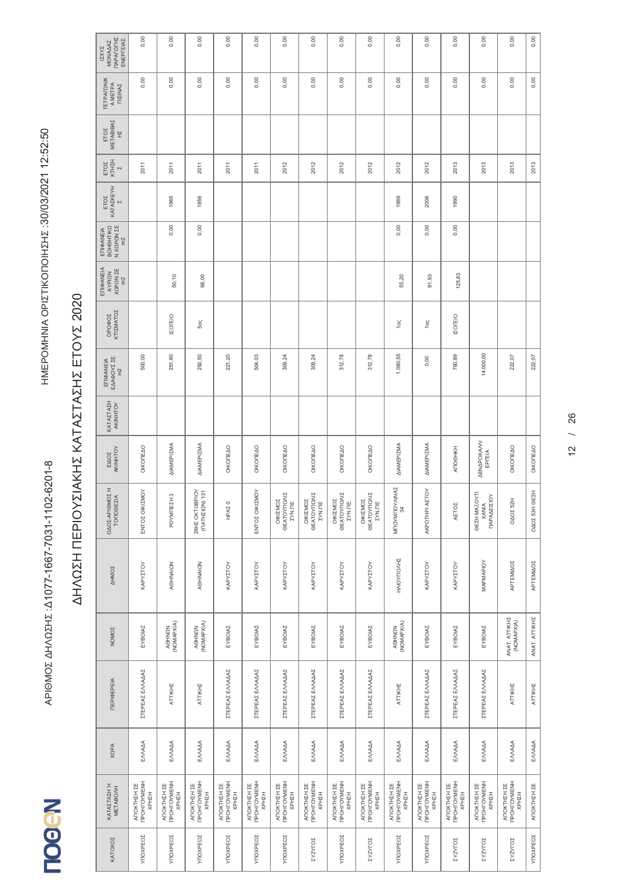| <b><i>ΠΑΡΑΓΩΓΗΣ</i></b><br>ΕΝΕΡΓΕΙΑΣ<br>MONAAAZ<br><b>IZXYZ</b> | 0,00                                | 0,00                                | 0,00                                | 0,00                                | 0,00                                              | 0,00                                | 0,00                                       | 0,00                                              | 0,00                                       | 0,00                                       | 0,00                                               | 0,00                                              | 0,00                                                  | 0,00                                               | 0,00             |
|-----------------------------------------------------------------|-------------------------------------|-------------------------------------|-------------------------------------|-------------------------------------|---------------------------------------------------|-------------------------------------|--------------------------------------------|---------------------------------------------------|--------------------------------------------|--------------------------------------------|----------------------------------------------------|---------------------------------------------------|-------------------------------------------------------|----------------------------------------------------|------------------|
| <b><i>TETPAFONIK</i></b><br>A METPA<br><b>NIZINAZ</b>           | 0,00                                | 0,00                                | 0,00                                | 0,00                                | 0,00                                              | 0,00                                | 0,00                                       | 0,00                                              | 0,00                                       | 0,00                                       | 0,00                                               | 0,00                                              | 0,00                                                  | 0,00                                               | 0,00             |
| METABIBAZ<br>ETOZ<br>H                                          |                                     |                                     |                                     |                                     |                                                   |                                     |                                            |                                                   |                                            |                                            |                                                    |                                                   |                                                       |                                                    |                  |
| ETOZ<br>KTHZH<br>$\overline{\mathsf{N}}$                        | 2011                                | 2011                                | 2011                                | 2011                                | 2011                                              | 2012                                | 2012                                       | 2012                                              | 2012                                       | 2012                                       | 2012                                               | 2013                                              | 2013                                                  | 2013                                               | 2013             |
| KATAZKEYH<br>ETOZ<br>$\overline{a}$                             |                                     | 1965                                | 1956                                |                                     |                                                   |                                     |                                            |                                                   |                                            | 1969                                       | 2006                                               | 1990                                              |                                                       |                                                    |                  |
| N XQPQN ZE<br>ВОНОНТІКО<br>ΕΠΙΦΑΝΕΙΑ                            |                                     | 0,00                                | 0,00                                |                                     |                                                   |                                     |                                            |                                                   |                                            | 0,00                                       | 0,00                                               | 0,00                                              |                                                       |                                                    |                  |
| ΕΠΙΦΑΝΕΙΑ<br>XQPQN ZE<br>KYPIQN                                 |                                     | 50,10                               | 98,00                               |                                     |                                                   |                                     |                                            |                                                   |                                            | 55,20                                      | 91,93                                              | 125,63                                            |                                                       |                                                    |                  |
| ΟΡΟΦΟΣ<br>ΚΤΙΣΜΑΤΟΣ                                             |                                     | <b>IZOFEIO</b>                      | 5ος                                 |                                     |                                                   |                                     |                                            |                                                   |                                            | 1ος                                        | 1oς                                                | <b>IZOTEIO</b>                                    |                                                       |                                                    |                  |
| ΕΠΙΦΑΝΕΙΑ<br>ΕΔΑΦΟΥΣ ΣΕ<br>m <sup>2</sup>                       | 500,00                              | 251,80                              | 292,50                              | 221,20                              | 504,03                                            | 309,24                              | 309,24                                     | 312,78                                            | 312,78                                     | 1.080,55                                   | 0,00                                               | 790,89                                            | 14.000,00                                             | 222,07                                             | 222,07           |
| KATAZTAZH<br>AKINHTOY                                           |                                     |                                     |                                     |                                     |                                                   |                                     |                                            |                                                   |                                            |                                            |                                                    |                                                   |                                                       |                                                    |                  |
| AKINHTOY<br>EIAOZ                                               | OIKONEAO                            | ΔΙΑΜΕΡΙΣΜΑ                          | ΔΙΑΜΕΡΙΣΜΑ                          | OIKONEAO                            | ΟΙΚΟΠΕΔΟ                                          | OIKONEAO                            | OIKONEAO                                   | ΟΙΚΟΠΕΔΟ                                          | ΟΙΚΟΠΕΔΟ                                   | ΔΙΑΜΕΡΙΣΜΑ                                 | <b>ΔΙΑΜΕΡΙΣΜΑ</b>                                  | АПОӨНКН                                           | <b>AENAPOKAVNI</b><br>EPTEIA                          | OIKONEAO                                           | OIKOTEAO         |
| I<br><b>SO</b><br>$\leq$<br>OAOZ-APIOM<br>TONOGEZ               | <b>NON</b><br>ΕΝΤΟΣ ΟΙΚΙΣ           | S<br><b>I</b><br>POYMIEZ            | 28HZ OKTOBPIOY<br>(TATHZIQN) 131    | HPA <sub>Σ</sub> 0                  | NOV<br>ΕΝΤΟΣ ΟΙΚΙΣ                                | ΟΙΚΙΣΜΟΣ<br>ΘΕΑΤΟΥΠΟΛΙΣ<br>ΣΥΝ.ΠΕ   | ΟΙΚΙΣΜΟΣ<br>ΘΕΑΤΟΥΠΟΛΙΣ<br><b>ZYN.TE</b>   | ΟΙΚΙΣΜΟΣ<br>ΘΕΑΤΟΥΠΟΛΙΣ<br>ΣΥΝ.ΠΕ                 | ΘΕΑΤΟΥΠΟΛΙΣ<br>ΟΙΚΙΣΜΟΣ<br><b>ZYN.ITE</b>  | <b>NINAZ</b><br>MTOYMTOYA<br>34            | AKPOTHPI AETOY                                     | AETOZ                                             | ΘΕΣΗ ΜΑΞΟΥΤΙ<br>$\delta$<br><b>XANIA</b><br>ΠΑΡΑΔΕΙΣΙ | OAOZ 52H                                           | EZH<br>OAOZ 53HO |
| <b>AHMOZ</b>                                                    | KAPYZTOY                            | <b>AOHNAION</b>                     | AOHNAION                            | KAPYZTOY                            | ΚΑΡΥΣΤΟΥ                                          | KAPYZTOY                            | KAPYZTOY                                   | KAPYZTOY                                          | KAPYZTOY                                   | HVIOALIOVHE                                | KAPYZTOY                                           | ΚΑΡΥΣΤΟΥ                                          | MAPMAPIOY                                             | ΑΡΤΕΜΙΔΟΣ                                          | ΑΡΤΕΜΙΔΟΣ        |
| <b>NOMOZ</b>                                                    | EYBOIAZ                             | AOHNON<br>(NOMAPXIA)                | AOHNON<br>(NOMAPXIA)                | EYBOIAZ                             | EYBOIAZ                                           | EYBOIAZ                             | EYBOIAZ                                    | EYBOIAZ                                           | EYBOIAZ                                    | AOHNON<br>(NOMAPXIA)                       | EYBOIAZ                                            | EYBOIAZ                                           | EYBOIAZ                                               | ANAT. ATTIKHZ<br>(NOMAPXIA)                        | ANAT. ATTIKHZ    |
| <b>TEPIOEPEIA</b>                                               | ΣΤΈΡΕΑΣ ΕΛΛΑΔΑΣ                     | ATTIKHZ                             | ATTIKHZ                             | ΣΤΈΡΕΑΣ ΕΛΛΑΔΑΣ                     | ΣΤΈΡΕΑΣ ΕΛΛΑΔΑΣ                                   | ΣΤΈΡΕΑΣ ΕΛΛΑΔΑΣ                     | ΣΤΈΡΕΑΣ ΕΛΛΑΔΑΣ                            | ΣΤΈΡΕΑΣ ΕΛΛΑΔΑΣ                                   | ΣΤΈΡΕΑΣ ΕΛΛΑΔΑΣ                            | ATTIKHZ                                    | ΣΤΈΡΕΑΣ ΕΛΛΑΔΑΣ                                    | ΣΤΈΡΕΑΣ ΕΛΛΑΔΑΣ                                   | ΣΤΈΡΕΑΣ ΕΛΛΑΔΑΣ                                       | ATTIKHZ                                            | ATTIKHZ          |
| <b>XQPA</b>                                                     | EMAAA                               | ENNADA                              | EMAAA                               | ENNAAA                              | EMAAA                                             | EMAAA                               | ENNADA                                     | EMAAA                                             | EMAAA                                      | EMAAA                                      | EMAAA                                              | EMAAA                                             | EMAAA                                                 | EMAAA                                              | ENNAMA           |
| ΚΑΤΑΣΤΑΣΗ Ή<br>ΜΕΤΑΒΟΛΗ                                         | ΑΠΟΚΤΗΣΗ ΣΕ<br>ΠΡΟΗΓΟΥΜΕΝΗ<br>КРН2Н | ΑΠΟΚΤΗΣΗ ΣΕ<br>ΠΡΟΗΓΟΥΜΕΝΗ<br>ХРНΣН | ΑΠΟΚΤΗΣΗ ΣΕ<br>ΠΡΟΗΓΟΥΜΕΝΗ<br>КРНЕН | ΑΠΟΚΤΗΣΗ ΣΕ<br>ΠΡΟΗΓΟΥΜΕΝΗ<br>ХРНΣН | <b>TPOHFOYMENH</b><br>ΑΠΟΚΤΗΣΗ ΣΕ<br><b>KPHZH</b> | ΑΠΟΚΤΗΣΗ ΣΕ<br>ΠΡΟΗΓΟΥΜΕΝΗ<br>KPHZH | <b>TPOHFOYMENH</b><br>ΑΠΟΚΤΗΣΗ ΣΕ<br>HZHZH | <b>TPOHFOYMENH</b><br><b>ATOKTHZH ΣΕ</b><br>ХРНΣН | <b>TPOHFOYMENH</b><br>ΑΠΟΚΤΗΣΗ ΣΕ<br>HZHZH | <b>TPOHFOYMENH</b><br>ΑΠΟΚΤΗΣΗ ΣΕ<br>HZHZH | <b>TPOHFOYMENH</b><br><b>ATIOKTHZH ZE</b><br>КРНЕН | <b>TPOHFOYMENH</b><br>ΑΠΟΚΤΗΣΗ ΣΕ<br><b>KPHZH</b> | <b>TPOHFOYMENH</b><br><b>ATOKTHZH ΣΕ</b><br>HZHZH     | <b>TPOHFOYMENH</b><br><b>ATIOKTHZH ZE</b><br>KPHZH | ANOKTHEH ZE      |
| KATOXOZ                                                         | YTOXPEOZ                            | YTIOXPEOZ                           | <b>YTIOXPEO2</b>                    | YTOXPEOZ                            | YTIOXPEOZ                                         | YTIOXPEO <sub>Σ</sub>               | ΣΥΖΥΓΟΣ                                    | YTIOXPEOZ                                         | <b>ZASKLOZ</b>                             | YTIOXPEOZ                                  | YTOXPEOZ                                           | ΣΥΖΥΓΟΣ                                           | <b>ZANALOZ</b>                                        | ΣΥΖΥΓΟΣ                                            | YTOXPEOZ         |
|                                                                 |                                     |                                     |                                     |                                     |                                                   |                                     |                                            |                                                   |                                            |                                            |                                                    |                                                   |                                                       |                                                    |                  |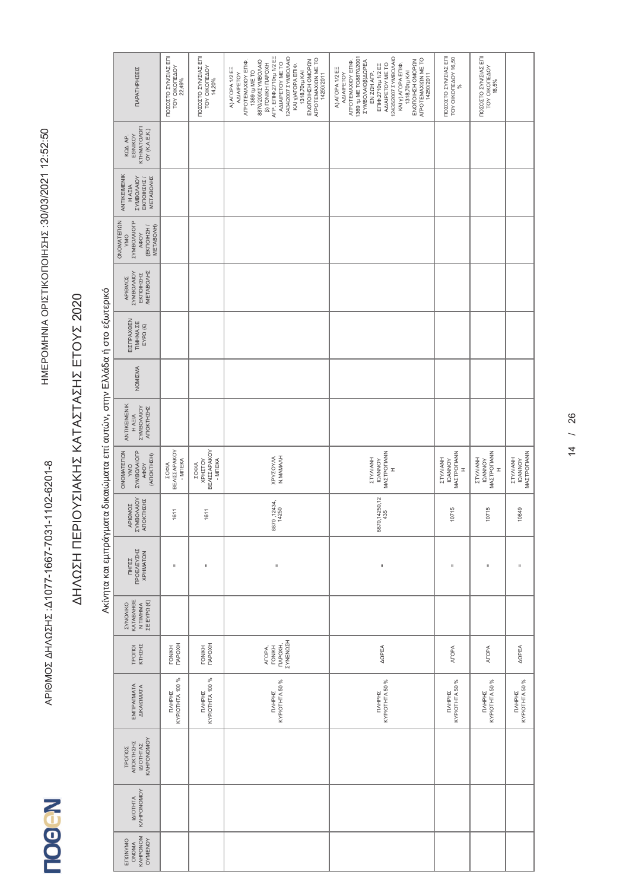### Ακίνητα και εμπράγματα δικαιώματα επί αυτών, στην Ελλάδα ή στο εξωτερικό Ακίνητα και εμπράγματα δικαιώματα επί αυτών, στην Ελλάδα ή στο εξωτερικό

| ΠΑΡΑΤΗΡΗΣΕΙΣ                                                                       | ΠΟΣΟΣΤΟ ΣΥΝ/ΣΙΑΣ ΕΠΙ<br><b>TOY OIKOTEAOY</b><br>22,49% | ΠΟΣΟΣΤΟ ΣΥΝ/ΣΙΑΣ ΕΠΙ<br>TOY OIKOΠΕΔΟΥ<br>14,20%                  | AFP. ENIO 2710 tu 1/2 EE<br>12434/2007 EYMBOAAO<br>AFPOTEMAXION ME TO<br>14250/2011<br>ENOTOIHZH OMOPON<br>8870/2001 EYMBOAAIO<br>ΑΓΡΟΤΕΜΑΧΙΟΥ ΕΠΙΦ.<br>AΔIAIPETOY ME TO<br><b>(3) ГОМКН ПАРОХН</b><br>КАІ У)АГОРА ЕПІФ.<br>A) ATOPA 1/2 EE<br>1369 Tµ ME TO<br>1318,70rµ KAI<br><b>AAIAIPETOY</b> | 12435/2007 EYMBOAAO<br>1369 tµ ME TO8870/2001<br>AFPOTEMAXIΩN ME TO<br>14250/2011<br>ENOTIOIHZH OMOPON<br>ΑΓΡΟΤΕΜΑΧΙΟΥ ΕΠΙΦ.<br><b><i>EYMBO/AIOB)ARPEA</i></b><br>AΔIAIPETOY ME TO<br>ΕΠΙΦ.2710τμ 1/2 ΕΞ<br>ΚΑΙ γ) ΑΓΟΡΑ ΕΠΙΦ.<br>1318,70τμ ΚΑΙ<br>A) AFOPA 1/2 EE<br>EN ZOH AFP.<br><b>AAIAIPETOY</b> | ΠΟΣΟΣΤΟ ΣΥΝ/ΣΙΑΣ ΕΠΙ<br>TOY OIKOΠEΔΟΥ 16,50<br>$\%$       | ΠΟΣΟΣΤΟ ΣΥΝΣΙΑΣ ΕΠΙ<br>TOY OIKOTEAOY<br>16,5%               |                                           |
|------------------------------------------------------------------------------------|--------------------------------------------------------|------------------------------------------------------------------|----------------------------------------------------------------------------------------------------------------------------------------------------------------------------------------------------------------------------------------------------------------------------------------------------|--------------------------------------------------------------------------------------------------------------------------------------------------------------------------------------------------------------------------------------------------------------------------------------------------------|-----------------------------------------------------------|-------------------------------------------------------------|-------------------------------------------|
| KTHMATO/OFI<br>OY (K.A.E.K.)<br>EONIKOY<br>KQA AP.                                 |                                                        |                                                                  |                                                                                                                                                                                                                                                                                                    |                                                                                                                                                                                                                                                                                                        |                                                           |                                                             |                                           |
| ANTIKEIMENIK<br><b>ZYMBO/AIOY</b><br><b>METABOAHZ</b><br>ΕΚΠΟΙΗΣΗΣ /<br>H AEIA     |                                                        |                                                                  |                                                                                                                                                                                                                                                                                                    |                                                                                                                                                                                                                                                                                                        |                                                           |                                                             |                                           |
| ONOMATENON<br><b><i>EYMBOAAOFP</i></b><br>(EKTOIHZH /<br>METABO/H)<br>AOOY<br>VMO  |                                                        |                                                                  |                                                                                                                                                                                                                                                                                                    |                                                                                                                                                                                                                                                                                                        |                                                           |                                                             |                                           |
| <b>METABONHZ</b><br><b>TYMBO/MIOY</b><br>EKTOIHZHZ<br>APIOMOZ                      |                                                        |                                                                  |                                                                                                                                                                                                                                                                                                    |                                                                                                                                                                                                                                                                                                        |                                                           |                                                             |                                           |
| ΕΙΣΠΡΑΧΘΕΝ<br>TIMHMA <b>ZE</b><br>$EYP\Omega(\mathbb{C})$                          |                                                        |                                                                  |                                                                                                                                                                                                                                                                                                    |                                                                                                                                                                                                                                                                                                        |                                                           |                                                             |                                           |
| NOMIZMA                                                                            |                                                        |                                                                  |                                                                                                                                                                                                                                                                                                    |                                                                                                                                                                                                                                                                                                        |                                                           |                                                             |                                           |
| ANTIKEIMENIK<br><b><i>ZYMBO/VOOX</i></b><br>ΑΠΟΚΤΗΣΗΣ<br>HAEIA                     |                                                        |                                                                  |                                                                                                                                                                                                                                                                                                    |                                                                                                                                                                                                                                                                                                        |                                                           |                                                             |                                           |
| ONOMATERON<br><b><i>EYMBOAAIOFP</i></b><br>(ANOKTHEH)<br><b>AOOY</b><br><b>OWA</b> | ΣΟΦΙΑ<br>ΒΕΛΙΣΣΑΡΑΚΟΥ<br>- MITEKA                      | <b>BEAIZZAPAKOY</b><br>- MITEKA<br><b>XPHITOY</b><br><b>ZOOM</b> | N.MAMANH<br><b>XPYZOY/M</b>                                                                                                                                                                                                                                                                        | MAZTPOFIANN<br>ETYAIANH<br><b>IQANNOY</b><br>$\mathbf{r}$                                                                                                                                                                                                                                              | MAZTPOTIANN<br>HNAIN/LZ<br><b>IQANNOY</b><br>$\mathbf{r}$ | <b>MAZTPOFIANN</b><br><b>HNANHZZ</b><br><b>IQANNOY</b><br>I | MAZTPOFIANN<br>ETYAIANH<br><b>IQANNOY</b> |
| <b>ZYMBO/AIOY</b><br>ΑΠΟΚΤΗΣΗΣ<br>APIOMOZ                                          | 1611                                                   | 1611                                                             | 8870, 12434,<br>14250                                                                                                                                                                                                                                                                              | 8870, 14250, 12<br>435                                                                                                                                                                                                                                                                                 | 10715                                                     | 10715                                                       | 10849                                     |
| ΠΡΟΕΛΕΥΣΗΣ<br><b>XPHMATON</b><br><b>THTEZ</b>                                      | II.                                                    | $\mathbf{u}$                                                     | $\mathsf{II}$                                                                                                                                                                                                                                                                                      | II                                                                                                                                                                                                                                                                                                     | Ш                                                         | $\sf II$                                                    | $\mathbf{u}$                              |
| <b>KATABAHOE</b><br>N TIMHMA<br>ΣΕ ΕΥΡΩ (€)<br><b><i>EYNOMKO</i></b>               |                                                        |                                                                  |                                                                                                                                                                                                                                                                                                    |                                                                                                                                                                                                                                                                                                        |                                                           |                                                             |                                           |
| ΚΤΗΣΗΣ<br>TPONOI                                                                   | <b>TAPOXH</b><br><b>TONIKH</b>                         | <b>TAPOXH</b><br><b>TONIKH</b>                                   | ΣΥΝΕΝΩΣΗ<br><b>TAPOXH,</b><br><b>TONIKH</b><br>ATOPA,                                                                                                                                                                                                                                              | <b>AOPEA</b>                                                                                                                                                                                                                                                                                           | <b>AFOPA</b>                                              | <b>AFOPA</b>                                                | <b>AOPEA</b>                              |
| EMIPALMATA<br><b>AIKAIQMATA</b>                                                    | KYPIOTHTA 100 %<br>TMHPHI                              | KYPIOTHTA 100 %<br>ПЛНРНІ                                        | KYPIOTHTA 50 %<br><b>NAHPHS</b>                                                                                                                                                                                                                                                                    | KYPIOTHTA 50 %<br>TMHPHI                                                                                                                                                                                                                                                                               | KYPIOTHTA 50 %<br><b>NAHPHS</b>                           | KYPIOTHTA 50 %<br>TIAHPHE                                   | KYPIOTHTA 50 %<br><b>NAHPHS</b>           |
| KVHPONOMOY<br>ΑΠΟΚΤΗΣΗΣ<br>ΙΔΙΟΤΗΤΑΣ<br>TPONOZ                                     |                                                        |                                                                  |                                                                                                                                                                                                                                                                                                    |                                                                                                                                                                                                                                                                                                        |                                                           |                                                             |                                           |
| KAHPONOMOY<br><b>IAIOTHTA</b>                                                      |                                                        |                                                                  |                                                                                                                                                                                                                                                                                                    |                                                                                                                                                                                                                                                                                                        |                                                           |                                                             |                                           |
| KAHPONOM<br>OYMENOY<br>ENQNYMO<br><b>ONOMA</b>                                     |                                                        |                                                                  |                                                                                                                                                                                                                                                                                                    |                                                                                                                                                                                                                                                                                                        |                                                           |                                                             |                                           |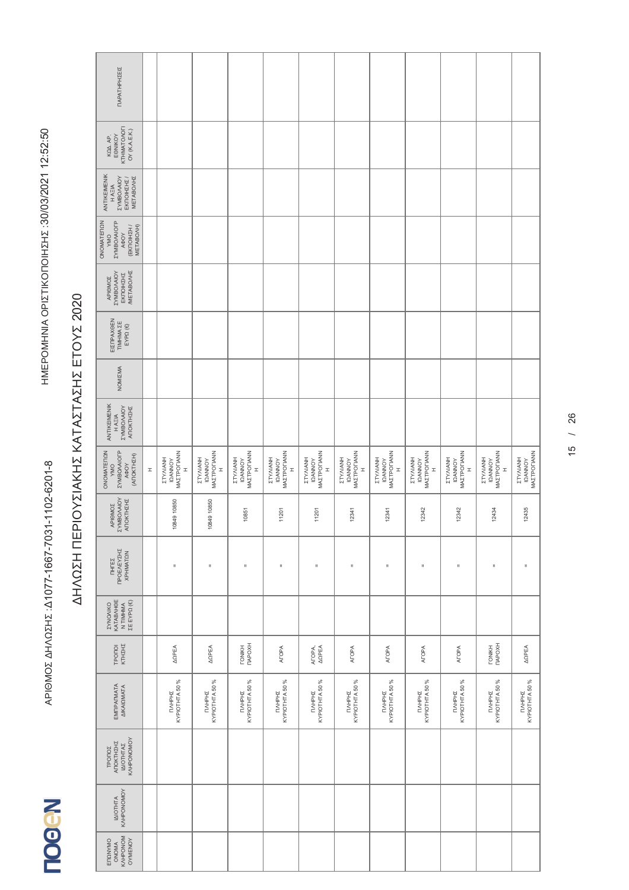|            | ΠΑΡΑΤΗΡΗΣΕΙΣ                                                                   |   |                                                           |                                                       |                                                                  |                                                                  |                                                           |                                                           |                                                |                                                    |                                                    |                                                                  |                                    |
|------------|--------------------------------------------------------------------------------|---|-----------------------------------------------------------|-------------------------------------------------------|------------------------------------------------------------------|------------------------------------------------------------------|-----------------------------------------------------------|-----------------------------------------------------------|------------------------------------------------|----------------------------------------------------|----------------------------------------------------|------------------------------------------------------------------|------------------------------------|
|            | <b>KTHMATOAOFI</b><br>OY (K.A.E.K.)<br>EONIKOY<br>KQA AP.                      |   |                                                           |                                                       |                                                                  |                                                                  |                                                           |                                                           |                                                |                                                    |                                                    |                                                                  |                                    |
|            | ANTIKEIMENIK<br><b>ZYMBO/AIOY</b><br><b>METABONHZ</b><br>ΕΚΠΟΙΗΣΗΣ /<br>H AEIA |   |                                                           |                                                       |                                                                  |                                                                  |                                                           |                                                           |                                                |                                                    |                                                    |                                                                  |                                    |
| ONOMATERON | <b><i>EYMBOAAOFP</i></b><br>(ΕΚΠΟΙΗΣΗ /<br>METABO/H)<br>AOOY<br>VMO            |   |                                                           |                                                       |                                                                  |                                                                  |                                                           |                                                           |                                                |                                                    |                                                    |                                                                  |                                    |
|            | <b>METABONHZ</b><br><b>AOIVVOSINAS</b><br>EKTOIHZHZ<br>APIOMOZ                 |   |                                                           |                                                       |                                                                  |                                                                  |                                                           |                                                           |                                                |                                                    |                                                    |                                                                  |                                    |
|            | ΕΙΣΠΡΑΧΘΕΝ<br>TIMHMA ZE<br>EYPΩ (€)                                            |   |                                                           |                                                       |                                                                  |                                                                  |                                                           |                                                           |                                                |                                                    |                                                    |                                                                  |                                    |
|            | NOMIZMA                                                                        |   |                                                           |                                                       |                                                                  |                                                                  |                                                           |                                                           |                                                |                                                    |                                                    |                                                                  |                                    |
|            | ANTIKEIMENIK<br><b>TYMBO/AIOY</b><br>ANOKTHIHI<br>HAEIA                        |   |                                                           |                                                       |                                                                  |                                                                  |                                                           |                                                           |                                                |                                                    |                                                    |                                                                  |                                    |
|            | ONOMATERON<br><b><i>EYMBOAAIOFP</i></b><br>(ANOKTHIEH)<br>AФOY<br>VMO          | I | MAZTPOFIANN<br>HNAIN/LZ<br><b>IQANNOY</b><br>$\mathbf{r}$ | MAZTPOFIANN<br><b>HNAIN/LZ</b><br><b>IQANNOY</b><br>I | MAZTPOTIANN<br><b>HNAIN/LZ</b><br><b>IQANNOY</b><br>$\mathbf{r}$ | MAZTPOFIANN<br><b>HNAIN/LZ</b><br><b>IQANNOY</b><br>$\mathbf{r}$ | MAZTPOTIANN<br>HNAINAIZ<br><b>IQANNOY</b><br>$\mathbf{r}$ | MAZTPOLIANN<br>HNAIN/LZ<br><b>IQANNOY</b><br>$\mathbb{I}$ | MAZTPOFIANN<br>HNAIN/LZ<br><b>IQANNOY</b><br>I | MAZTPOLIANN<br>ETYAIANH<br><b>IQANNOY</b><br>$\pm$ | MAZTPOLIANN<br>ETYAIANH<br><b>IQANNOY</b><br>$\pm$ | MAZTPOLIANN<br><b>HNAIN/LZ</b><br><b>IQANNOY</b><br>$\mathbb{I}$ | IΩANNOY<br>MAZTPOΓIANN<br>ETYAIANH |
|            | APIOMOZ<br>EYMBO/AIOY<br>ATOKTHZHZ                                             |   | 10849 10850                                               | 10849 10850                                           | 10851                                                            | 11201                                                            | 11201                                                     | 12341                                                     | 12341                                          | 12342                                              | 12342                                              | 12434                                                            | 12435                              |
|            | ΠΗΓΈΣ<br>ΠΡΟΕΛΕΥΣΗΣ<br>ΧΡΗΜΑΤΩΝ                                                |   | $\sf II$                                                  | $\mathsf{II}$                                         | $\sf II$                                                         | $\rm _{II}$                                                      | $\mathbf{u}$                                              | $\rm _{II}$                                               | $\sf II$                                       | Ш                                                  | $\sf II$                                           | $\rm _{II}$                                                      | $\mathsf{II}$                      |
|            | <b><i>EYNONIKO</i></b><br>KATABAHOE<br>N TIMHMA<br>$\Sigma E EYP\Omega(E)$     |   |                                                           |                                                       |                                                                  |                                                                  |                                                           |                                                           |                                                |                                                    |                                                    |                                                                  |                                    |
|            | KTHIHI<br>TPONOI                                                               |   | <b>ARPEA</b>                                              | <b>AQPEA</b>                                          | <b>TONIKH</b><br><b>TIAPOXH</b>                                  | <b>ATOPA</b>                                                     | ATOPA,<br>ARPEA                                           | <b>ATOPA</b>                                              | <b>AFOPA</b>                                   | <b>ATOPA</b>                                       | <b>ATOPA</b>                                       | <b>TONIKH</b><br><b>TIAPOXH</b>                                  | <b>AOPEA</b>                       |
|            | EMITPATMATA<br><b>AIKAIQMATA</b>                                               |   | KYPIOTHTA 50 %<br>TIVHPHZ                                 | KYPIOTHTA 50 %<br>TMHPHI                              | <b>NAHPHE</b><br>KYPIOTHTA 50 %                                  | <b>NAHPHE</b><br>KYPIOTHTA 50 %                                  | <b>NAHPHE</b><br>KYPIOTHTA 50 %                           | <b>NAHPHE</b><br>KYPIOTHTA 50 %                           | TIAHPHE<br>KYPIOTHTA 50 %                      | KYPIOTHTA 50 %<br>TMHPHI                           | KYPIOTHTA 50 %<br>TIVHPHZ                          | <b>NAHPHE</b><br>KYPIOTHTA 50 %                                  | <b>NAHPHE</b><br>KYPIOTHTA 50 %    |
|            | KAHPONOMOY<br>ANOKTHEHE<br>ΙΔΙΟΤΗΤΑΣ<br>ΤΡΟΠΟΣ                                 |   |                                                           |                                                       |                                                                  |                                                                  |                                                           |                                                           |                                                |                                                    |                                                    |                                                                  |                                    |
|            | KVHbONOWOY<br><b>IAIOTHTA</b>                                                  |   |                                                           |                                                       |                                                                  |                                                                  |                                                           |                                                           |                                                |                                                    |                                                    |                                                                  |                                    |
|            | KAHPONOM<br>OYMENOY<br>ENQNYMO<br>ONOMA                                        |   |                                                           |                                                       |                                                                  |                                                                  |                                                           |                                                           |                                                |                                                    |                                                    |                                                                  |                                    |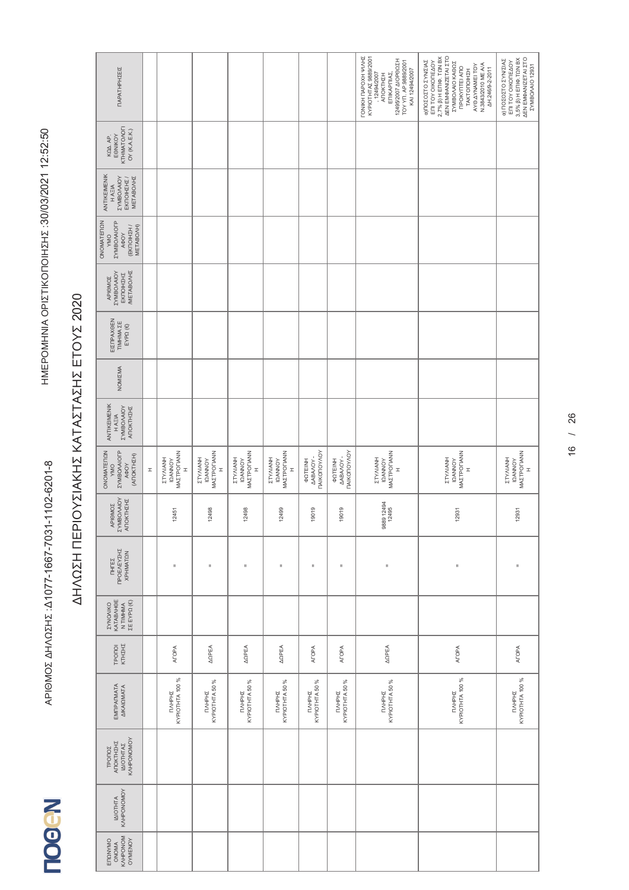| ΠΑΡΑΤΗΡΗΣΕΙΣ                                                                             |              |                                                           |                                                                  |                                                                  |                                                                  |                                                               |                                                          | <b><i>LONIKH LIVBOXH ANNE</i></b><br>KYPIOTHTAX 9889/2001<br>12495/2007 AIOPOQEH<br>TOY YIT. AP.9889/2001<br>KAI 12494/2007<br>12494/2007<br>ΕΠΙΚΑΡΠΙΑΣ,<br><b>ANOKTHEH</b> | ΔΕΝ ΕΜΦΑΝΙΖΕΤΑΙ ΣΤΟ<br>$2,7%$ $\beta$ ) H ENI $\Phi$ . TON BX<br><b>α)ΠΟΣΟΣΤΟ ΣΥΝ/ΣΙΑΣ</b><br>ΕΠΙ ΤΟΥ ΟΙΚΟΠΕΔΟΥ<br><b><i>EYMBO/AIO KAODE</i></b><br>AYO AYNAMEI TOY<br>N.3843/2010 ME A/A<br><b><i>ПРОКУПТЕІ АПО</i></b><br>AH 246/9-2-2011<br>TAKTONOIHZH | ΔΕΝ ΕΜΦΑΝΙΖΕΤΑΙ ΣΤΟ<br>$3,5\%$ $\beta$ ) H EMQ. TON BX<br>α) ΠΟΣΟΣΤΟ ΣΥΝ/ΣΙΑΣ<br>EN TOY OIKONEAOY<br>EYMBO/AIO 12931 |
|------------------------------------------------------------------------------------------|--------------|-----------------------------------------------------------|------------------------------------------------------------------|------------------------------------------------------------------|------------------------------------------------------------------|---------------------------------------------------------------|----------------------------------------------------------|-----------------------------------------------------------------------------------------------------------------------------------------------------------------------------|------------------------------------------------------------------------------------------------------------------------------------------------------------------------------------------------------------------------------------------------------------|----------------------------------------------------------------------------------------------------------------------|
| <b>KTHMATOAOFI</b><br>OY (K.A.E.K.)<br>EONIKOY<br>KQA AP.                                |              |                                                           |                                                                  |                                                                  |                                                                  |                                                               |                                                          |                                                                                                                                                                             |                                                                                                                                                                                                                                                            |                                                                                                                      |
| ANTIKEIMENIK<br><b>ZYMBOVAIOY</b><br>EKTOIHZHZ /<br><b>METABOAHZ</b><br>H AEIA           |              |                                                           |                                                                  |                                                                  |                                                                  |                                                               |                                                          |                                                                                                                                                                             |                                                                                                                                                                                                                                                            |                                                                                                                      |
| ONOMATEMON<br><b><i>EYMBOAAOFP</i></b><br>(EKNOIHZH /<br>METABO/H)<br>AOOY<br><b>OMA</b> |              |                                                           |                                                                  |                                                                  |                                                                  |                                                               |                                                          |                                                                                                                                                                             |                                                                                                                                                                                                                                                            |                                                                                                                      |
| <b>METABONHZ</b><br><b>AOIVVOSINIS</b><br>EKTOIHZHZ<br>APIOMOZ                           |              |                                                           |                                                                  |                                                                  |                                                                  |                                                               |                                                          |                                                                                                                                                                             |                                                                                                                                                                                                                                                            |                                                                                                                      |
| ΕΙΣΠΡΑΧΘΕΝ<br>TIM HMA ZE<br>$EYP\Omega$ (€)                                              |              |                                                           |                                                                  |                                                                  |                                                                  |                                                               |                                                          |                                                                                                                                                                             |                                                                                                                                                                                                                                                            |                                                                                                                      |
| NOMIZMA                                                                                  |              |                                                           |                                                                  |                                                                  |                                                                  |                                                               |                                                          |                                                                                                                                                                             |                                                                                                                                                                                                                                                            |                                                                                                                      |
| ANTIKEIMENIK<br><b>ZYMBO/AIOY</b><br>ΑΠΟΚΤΗΣΗΣ<br><b>HAEIA</b>                           |              |                                                           |                                                                  |                                                                  |                                                                  |                                                               |                                                          |                                                                                                                                                                             |                                                                                                                                                                                                                                                            |                                                                                                                      |
| ONOMATERON<br><b><i>EYMBOAAIOFP</i></b><br>(ANOKTHIEH)<br>A¢OY<br>VMO                    | $\mathbb{I}$ | MAZTPOFIANN<br>HNAINAIZ<br><b>IQANNOY</b><br>$\mathbf{r}$ | MAZTPOFIANN<br><b>HNAIN/LZ</b><br><b>IQANNOY</b><br>$\mathbf{r}$ | <b><i>MAΣTPOΓIANN</i></b><br>ETYAIANH<br><b>IQANNOY</b><br>$\pm$ | MAZTPOFIANN<br><b>HNAIN/LZ</b><br><b>IQANNOY</b><br>$\mathbb{I}$ | <b><i><u>TAIKOTOYAOY</u></i></b><br>MBAAOY-<br><b>POTEINH</b> | <b>AABAAOY -</b><br><b>TAIKOTOYAOY</b><br><b>AQTEINH</b> | MAZTPOLIANN<br>ETYAIANH<br><b>IQANNOY</b><br>$\mathbf{I}$                                                                                                                   | <b>MAZTPOFIANN</b><br>ETYAIANH<br><b>IQANNOY</b><br>$\mathbf{r}$                                                                                                                                                                                           | MAZTPOFIANN<br>HNANHZ<br><b>IQANNOY</b><br>$\mathbf{r}$                                                              |
| APIOMOZ<br>EYMBO/AIOY<br>ATOKTHZHZ                                                       |              | 12451                                                     | 12498                                                            | 12498                                                            | 12499                                                            | 19019                                                         | 19019                                                    | 9889 12494<br>12495                                                                                                                                                         | 12931                                                                                                                                                                                                                                                      | 12931                                                                                                                |
| ΠΡΟΕΛΕΥΣΗΣ<br><b>XPHMATON</b><br><b>THTES</b>                                            |              | $\mathbf{u}$                                              | $\mathsf{II}$                                                    | Ш                                                                | $\mathsf{II}$                                                    | $\sf II$                                                      | $\mathbf{u}$                                             | $\sf II$                                                                                                                                                                    | $\mathbf{I}$                                                                                                                                                                                                                                               | $\blacksquare$                                                                                                       |
| KATABAHOE<br>Ν ΤΙΜΗΜΑ<br>ΣΕ ΕΥΡΩ (€)<br><b><i>EYNONIKO</i></b>                           |              |                                                           |                                                                  |                                                                  |                                                                  |                                                               |                                                          |                                                                                                                                                                             |                                                                                                                                                                                                                                                            |                                                                                                                      |
| KTHIHI<br>TPONOI                                                                         |              | <b>AFOPA</b>                                              | <b>ARPEA</b>                                                     | <b>ARPEA</b>                                                     | <b>AOPEA</b>                                                     | <b>AFOPA</b>                                                  | <b>AFOPA</b>                                             | <b>ARPEA</b>                                                                                                                                                                | <b>AFOPA</b>                                                                                                                                                                                                                                               | <b>ATOPA</b>                                                                                                         |
| ΕΜΠΡΑΓΜΑΤΑ<br>ΔΙΚΑΙΩΜΑΤΑ                                                                 |              | KYPIOTHTA 100 %<br>TIAHPHE                                | KYPIOTHTA 50 %<br>ПЛНРНІ                                         | KYPIOTHTA 50 %<br>TIAHPHE                                        | KYPIOTHTA 50 %<br><b>TAHPHS</b>                                  | KYPIOTHTA 50 %<br>TAHPHE                                      | KYPIOTHTA 50 %<br><b>NAHPHS</b>                          | KYPIOTHTA 50 %<br>TIVHPHE                                                                                                                                                   | KYPIOTHTA 100 %<br><b>TIVHPHS</b>                                                                                                                                                                                                                          | KYPIOTHTA 100 %<br>TIVHPHE                                                                                           |
| KAHPONOMOY<br>ANOKTHEHE<br>ΙΔΙΟΤΗΤΑΣ<br><b>TPONOZ</b>                                    |              |                                                           |                                                                  |                                                                  |                                                                  |                                                               |                                                          |                                                                                                                                                                             |                                                                                                                                                                                                                                                            |                                                                                                                      |
| KVHPONOMOY<br><b>IAIOTHTA</b>                                                            |              |                                                           |                                                                  |                                                                  |                                                                  |                                                               |                                                          |                                                                                                                                                                             |                                                                                                                                                                                                                                                            |                                                                                                                      |
| KAHPONOM<br>OYMENOY<br>ENQNYMO<br>ONOMA                                                  |              |                                                           |                                                                  |                                                                  |                                                                  |                                                               |                                                          |                                                                                                                                                                             |                                                                                                                                                                                                                                                            |                                                                                                                      |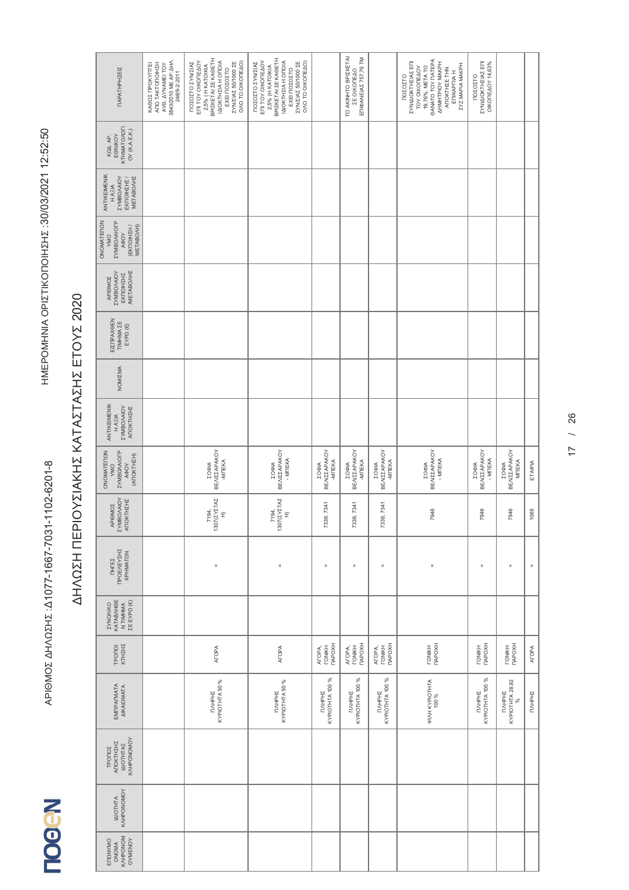| ΠΑΡΑΤΗΡΗΣΕΙΣ                                                                      | 3843/2010 ME AP AHA.<br>ANO TAKTONOIHZH<br><b>ΚΑΘΩΣ ΠΡΟΚΥΠΤΕΙ</b><br>AYO. AYNAMEI TOY<br>246/9-2-2011 | ΒΡΙΣΚΕΤΑΙ ΣΕ ΚΑΘΕΤΗ<br>IAIOKTHEIA H ONOIA<br>ΠΟΣΟΣΤΟ ΣΥΝ/ΣΙΑΣ<br>ΕΠΙ ΤΟΥ ΟΙΚΟΠΕΔΟΥ<br><b><i>EYN/ZIAZ 50/1000 ZE</i></b><br>ΟΛΟ ΤΟ ΟΙΚΟΠΕΔΟ)<br>2,5% ( H KATOIKIA<br>ΕΧΕΙ ΠΟΣΟΣΤΟ | ΒΡΙΣΚΕΤΑΙ ΣΕ ΚΑΘΕΤΗ<br>ΕΠΙ ΤΟΥ ΟΙΚΟΠΕΔΟΥ<br>IAIOKTHEIA H ONOIA<br><b>ΣΥΝ/ΣΙΑΣ 50/1000 ΣΕ</b><br>ΠΟΣΟΣΤΟ ΣΥΝ/ΣΙΑΣ<br>ΟΛΟ ΤΟ ΟΙΚΟΠΕΔΟ)<br>2,5% (H KATOIKIA<br>ΕΧΕΙ ΠΟΣΟΣΤΟ |                                         | TO AKINHTO BPIZKETAI<br>ΕΠΙΦΑΝΕΙΑΣ 757,76 ΤΜ<br>ΣΕ ΟΙΚΟΠΕΔΟ |                                                | <b>GANATO TOY DATEPA</b><br>ΣΥΝΙΔΙΟΚΤΗΣΙΑΣ ΕΠΙ<br><b>AHMHTPIOY MAKPH</b><br><b><i>ΣΥΖ.ΜΑΡΙΑ ΜΑΚΡΗ</i></b><br>19,76%. META TO<br>TOY OIKOITEAOY<br>ANOKTHEE THN<br><b>ETIKAPTIA H</b><br>ΠΟΣΟΣΤΟ | ΣΥΝΙΔΙΟΚΤΗΣΙΑΣ ΕΠΙ<br><b>OIKOTEAOY 14,63%</b><br>ΠΟΣΟΣΤΟ |                                        |               |
|-----------------------------------------------------------------------------------|-------------------------------------------------------------------------------------------------------|----------------------------------------------------------------------------------------------------------------------------------------------------------------------------------|--------------------------------------------------------------------------------------------------------------------------------------------------------------------------|-----------------------------------------|-------------------------------------------------------------|------------------------------------------------|-------------------------------------------------------------------------------------------------------------------------------------------------------------------------------------------------|----------------------------------------------------------|----------------------------------------|---------------|
| KTHMATOAOFI<br>OY (K.A.E.K.)<br>EONIKOY<br>KQA AP.                                |                                                                                                       |                                                                                                                                                                                  |                                                                                                                                                                          |                                         |                                                             |                                                |                                                                                                                                                                                                 |                                                          |                                        |               |
| ANTIKEIMENIK<br><b>ZYMBOVAIOY</b><br>EKTOIHZHZ /<br><b>METABOAHZ</b><br>H AEIA    |                                                                                                       |                                                                                                                                                                                  |                                                                                                                                                                          |                                         |                                                             |                                                |                                                                                                                                                                                                 |                                                          |                                        |               |
| <b><i>EYMBOAAOFP</i></b><br>ONOMATERON<br>(EKNOIHZH /<br>METABO/H)<br>A4OY<br>VMO |                                                                                                       |                                                                                                                                                                                  |                                                                                                                                                                          |                                         |                                                             |                                                |                                                                                                                                                                                                 |                                                          |                                        |               |
| <b>METABONHZ</b><br><b>ZYMBO/AIOY</b><br>EKTIOIHZHZ<br>APIOMOZ                    |                                                                                                       |                                                                                                                                                                                  |                                                                                                                                                                          |                                         |                                                             |                                                |                                                                                                                                                                                                 |                                                          |                                        |               |
| ΕΙΣΠΡΑΧΘΕΝ<br>TIMHMA ZE<br>$EYP\Omega$ (€)                                        |                                                                                                       |                                                                                                                                                                                  |                                                                                                                                                                          |                                         |                                                             |                                                |                                                                                                                                                                                                 |                                                          |                                        |               |
| NOMIZMA                                                                           |                                                                                                       |                                                                                                                                                                                  |                                                                                                                                                                          |                                         |                                                             |                                                |                                                                                                                                                                                                 |                                                          |                                        |               |
| ANTIKEIMENIK<br><b>AOIVVOGINAZ</b><br>ΑΠΟΚΤΗΣΗΣ<br>HAEIA                          |                                                                                                       |                                                                                                                                                                                  |                                                                                                                                                                          |                                         |                                                             |                                                |                                                                                                                                                                                                 |                                                          |                                        |               |
| ONOMATEMON<br><b><i>EYMBOAAIOFP</i></b><br>(ANOKTHIN)<br>A¢OY<br><b>VMO</b>       |                                                                                                       | <b>BEAIZZAPAKOY</b><br>-MTEKA<br>200M                                                                                                                                            | <b>BEAIZZAPAKOY</b><br>- MITEKA<br>ΣΟΦΙΑ                                                                                                                                 | <b>BEAIZZAPAKOY</b><br>-MITEKA<br>ΣΟΦΙΑ | ΒΕΛΙΣΣΑΡΑΚΟΥ<br>-MITEKA<br>ΣΟΦΙΑ                            | <b>BEAIZZAPAKOY</b><br>-MITEKA<br><b>ZOOIA</b> | <b>BEAIZZAPAKOY</b><br>- MITEKA<br>ΣΟΦΙΑ                                                                                                                                                        | BEAIZZAPAKOY<br>- MITEKA<br>ΣΟΦΙΑ                        | ΒΕΛΙΣΣΑΡΑΚΟΥ<br>MITEKA<br><b>ZOOM</b>  | ETAIPIA       |
| APIOMOZ<br>ZYMBO/AIOY<br>ΑΠΟΚΤΗΣΗΣ                                                |                                                                                                       | 1307(ZYZTAZ<br>7194.<br>$\widehat{\mathbf{r}}$                                                                                                                                   | 1307(ZYZTAZ<br>7194,<br>$\widehat{\mathbf{r}}$                                                                                                                           | 39,7341<br>ಌ                            | 7339, 7341                                                  | 7339, 7341                                     | 7946                                                                                                                                                                                            | 7946                                                     | 7946                                   | 1065          |
| ΠΡΟΕΛΕΥΣΗΣ<br>XPHMATON<br><b>THTEZ</b>                                            |                                                                                                       | $\rm _{H}$                                                                                                                                                                       | $\mathbf{I}$                                                                                                                                                             | $\sf II$                                | $\rm _{H}$                                                  | $\sf II$                                       | $\blacksquare$                                                                                                                                                                                  | II.                                                      | Ш                                      | $\mathsf{II}$ |
| KATABAHOE<br>Ν ΤΙΜΗΜΑ<br>ΣΕ ΕΥΡΩ (€)<br><b><i>EYNONIKO</i></b>                    |                                                                                                       |                                                                                                                                                                                  |                                                                                                                                                                          |                                         |                                                             |                                                |                                                                                                                                                                                                 |                                                          |                                        |               |
| KTHZHZ<br>TPONOI                                                                  |                                                                                                       | <b>ATOPA</b>                                                                                                                                                                     | <b>ATOPA</b>                                                                                                                                                             | <b>TAPOXH</b><br>AFOPA,<br>TONIKH       | <b>TAPOXH</b><br><b>TONIKH</b><br>ATOPA,                    | ATOPA,<br>TONIKH<br>TAPOXH                     | TONIKH<br>TIAPOXH                                                                                                                                                                               | <b>TAPOXH</b><br><b>TONIKH</b>                           | <b>TONIKH</b><br><b>TIAPOXH</b>        | <b>AFOPA</b>  |
| EMIPALMATA<br><b>AIKAIQMATA</b>                                                   |                                                                                                       | KYPIOTHTA 50 %<br><b>TIVHPHS</b>                                                                                                                                                 | <b>NAHPHE</b><br>KYPIOTHTA 50 %                                                                                                                                          | KYPIOTHTA 100 %<br>TIVHPHZ              | KYPIOTHTA 100 %<br>ПЛНРНІ                                   | KYPIOTHTA 100 %<br>TIAHPHE                     | ФИНКУРЮТНТА<br>100 %                                                                                                                                                                            | KYPIOTHTA 100 %<br><b>TIMHPHS</b>                        | KYPIOTHTA 28.92<br>%<br><b>TIVHPHS</b> | <b>NAHPHS</b> |
| KAHPONOMOY<br>ANOKTHEHE<br>ΙΔΙΟΤΗΤΑΣ<br>TPONOZ                                    |                                                                                                       |                                                                                                                                                                                  |                                                                                                                                                                          |                                         |                                                             |                                                |                                                                                                                                                                                                 |                                                          |                                        |               |
| KVHPONOMOY<br><b>IAIOTHTA</b>                                                     |                                                                                                       |                                                                                                                                                                                  |                                                                                                                                                                          |                                         |                                                             |                                                |                                                                                                                                                                                                 |                                                          |                                        |               |
| KAHPONOM<br>OYMENOY<br>ENQNYMO<br>ONOMA                                           |                                                                                                       |                                                                                                                                                                                  |                                                                                                                                                                          |                                         |                                                             |                                                |                                                                                                                                                                                                 |                                                          |                                        |               |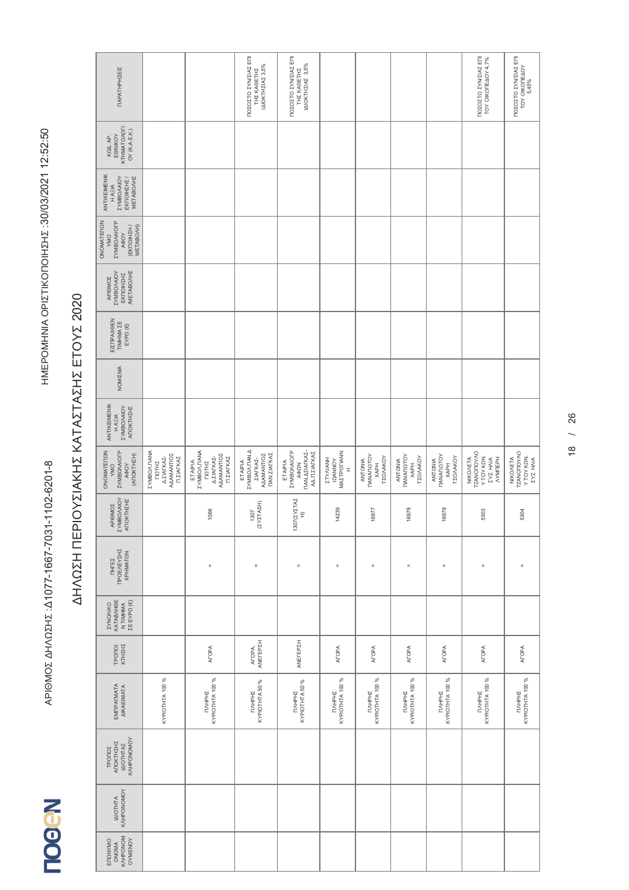| ΠΑΡΑΤΗΡΗΣΕΙΣ                                                                              |                                                                                              |                                                                                  | ΠΟΣΟΣΤΟ ΣΥΝ/ΣΙΑΣ ΕΠΙ<br>ΙΔΙΟΚΤΗΣΙΑΣ 3,5%<br>THE KAGETHE                           | ΠΟΣΟΣΤΟ ΣΥΝ/ΣΙΑΣ ΕΠΙ<br>IAIOKTHEIAE 3,5%<br>ΤΗΣ ΚΑΘΕΤΗΣ               |                                                           |                                                                               |                                                                              |                                                                        | ΠΟΣΟΣΤΟ ΣΥΝΣΙΑΣ ΕΠΙ<br>TOY OIKONEAOY 4,7%                                   | ΠΟΣΟΣΤΟ ΣΥΝ/ΣΙΑΣ ΕΠΙ<br>TOY OIKOITEAOY<br>5,45%          |
|-------------------------------------------------------------------------------------------|----------------------------------------------------------------------------------------------|----------------------------------------------------------------------------------|-----------------------------------------------------------------------------------|-----------------------------------------------------------------------|-----------------------------------------------------------|-------------------------------------------------------------------------------|------------------------------------------------------------------------------|------------------------------------------------------------------------|-----------------------------------------------------------------------------|----------------------------------------------------------|
| KTHMATOAOFI<br>OY (K.A.E.K.)<br>EONIKOY<br>KQA AP                                         |                                                                                              |                                                                                  |                                                                                   |                                                                       |                                                           |                                                                               |                                                                              |                                                                        |                                                                             |                                                          |
| ANTIKEIMENIK<br><b>ZYMBO/AIOY</b><br>ΕΚΠΟΙΗΣΗΣ /<br><b>METABONHZ</b><br>H AEIA            |                                                                                              |                                                                                  |                                                                                   |                                                                       |                                                           |                                                                               |                                                                              |                                                                        |                                                                             |                                                          |
| ONOMATERION<br><b><i>EYMBOAAOFP</i></b><br>(EKNOIHZH /<br>METABO/H)<br><b>AOOY</b><br>VMO |                                                                                              |                                                                                  |                                                                                   |                                                                       |                                                           |                                                                               |                                                                              |                                                                        |                                                                             |                                                          |
| <b>METABONHZ</b><br><b>ZYMBO/AIOY</b><br>EKNOIHZHZ<br><b>APIOMOZ</b>                      |                                                                                              |                                                                                  |                                                                                   |                                                                       |                                                           |                                                                               |                                                                              |                                                                        |                                                                             |                                                          |
| ΕΙΣΠΡΑΧΘΕΝ<br>TIMHMA <b>ZE</b><br>$\mathsf{EXPQ}\left(\mathbb{C}\right)$                  |                                                                                              |                                                                                  |                                                                                   |                                                                       |                                                           |                                                                               |                                                                              |                                                                        |                                                                             |                                                          |
| NOMIZMA                                                                                   |                                                                                              |                                                                                  |                                                                                   |                                                                       |                                                           |                                                                               |                                                                              |                                                                        |                                                                             |                                                          |
| ANTIKEIMENIK<br><b>AOIVVOGINAZ</b><br>ANOKTHIHI<br>H A E IA                               |                                                                                              |                                                                                  |                                                                                   |                                                                       |                                                           |                                                                               |                                                                              |                                                                        |                                                                             |                                                          |
| ONOMATERON<br><b><i>EYMBOAAIOFP</i></b><br>(ANOKTHEH)<br>AФOY<br>VMO                      | <b><i>EYMBOA. TIANA</i></b><br><b>AAAMANTIOZ</b><br>Δ.ΣΙΑΓΚΑΣ-<br>Π.ΣΙΑΓΚΑΣ<br><b>TIQTHE</b> | ETAIPIA<br>ZYMBOA.TIANA<br><b>AAAMANTIOZ</b><br>Δ.ΣΙΑΓΚΑΣ-<br>Π.ΣΙΑΓΚΑΣ<br>ΠΩΤΗΣ | <b>ZYMBOA. ΠΑΝ.Δ</b><br>AAAMANTIOZ<br>ΠΑΝ.ΣΙΑΓΚΑΣ<br>. <b>ΣΙΑΓΚΑΣ-</b><br>ETAIPIA | ΠΑΝ ΔΣΙΑΓΚΑΣ-<br>ETAIPIA<br>ZYMBO/AIOFP<br><b>ΑΔΠ.ΣΙΑΓΚΑΣ</b><br>AФQN | MAZTPOTIANN<br>ETYAIANH<br><b>IQANNOY</b><br>$\mathbf{r}$ | <b><i><u>TANAFIQTOY</u></i></b><br><b>TZO/VAKOY</b><br>ANTONIA<br><b>XAPH</b> | <b><i><u>TANAFIQTOY</u></i></b><br><b>TZO/AKOY</b><br>ANTONIA<br><b>KAPH</b> | <b><i>TANAFIQTOY</i></b><br><b>TZO/VAKOY</b><br>ANTONIA<br><b>KAPH</b> | <b>TZANOTIOYAO</b><br>Y TOY KON.<br>NIKONETA<br>NYMTEPH<br><b>EYZ. HAIA</b> | TZANONOVAO<br>Y TOY KΩN.<br><b>ZYZ. HAIA</b><br>NIKONETA |
| APIOMOZ<br>EYMBO/AIOY<br>ATOKTHEHE                                                        |                                                                                              | 1066                                                                             | (2YZTAZH)<br>1307                                                                 | 1307( <i>ΣΥΣΤΑΣ</i><br>£                                              | 14239                                                     | 16977                                                                         | 16978                                                                        | 16979                                                                  | 5303                                                                        | 5304                                                     |
| <b>TIPOEAEYZHZ</b><br><b>XPHMATON</b><br>THTEZ                                            |                                                                                              | $\sf II$                                                                         | $\rm _{II}$                                                                       | Ш                                                                     | $\mathbf{u}$                                              | $\mathbf{u}$                                                                  | $\mathsf{II}$                                                                | $\sf II$                                                               | $\mathbf H$                                                                 | $\sf II$                                                 |
| <b><i>EYNONIKO</i></b><br>KATABAHOE<br>N TIMHMA<br>ΣΕ ΕΥΡΩ (€)                            |                                                                                              |                                                                                  |                                                                                   |                                                                       |                                                           |                                                                               |                                                                              |                                                                        |                                                                             |                                                          |
| KTHIHI<br>TPONOI                                                                          |                                                                                              | <b>AFOPA</b>                                                                     | ATOPA,<br>ANETEPZH                                                                | ANETEPZH                                                              | <b>AFOPA</b>                                              | <b>AFOPA</b>                                                                  | <b>AFOPA</b>                                                                 | <b>AFOPA</b>                                                           | <b>AFOPA</b>                                                                | <b>ATOPA</b>                                             |
| EMITPATMATA<br><b>AIKAIQMATA</b>                                                          | KYPIOTHTA 100 %                                                                              | <b>ΠΛΗΡΗΣ</b><br>ΚΥΡΙΟΤΗΤΑ 100 %                                                 | KYPIOTHTA 50 %<br>TIVHPHE                                                         | KYPIOTHTA 50 %<br>TIVHPHZ                                             | KYPIOTHTA 100 %<br>TMHPHI                                 | <b>NAHPHX<br/>KYPIOTHTA100%</b>                                               | <b>NAHPHE</b><br>KYPIOTHTA 100 %                                             | <b>NAHPHE</b><br>KYPIOTHTA 100 %                                       | KYPIOTHTA 100 %<br><b>TIVHPHS</b>                                           | KYPIOTHTA 100 %<br>TIVHPHE                               |
| KVHPONOMOY<br>ANOKTHEHE<br>ΙΔΙΟΤΗΤΑΣ<br>TPONOZ                                            |                                                                                              |                                                                                  |                                                                                   |                                                                       |                                                           |                                                                               |                                                                              |                                                                        |                                                                             |                                                          |
| KVHPONOMOV<br><b>IAIOTHTA</b>                                                             |                                                                                              |                                                                                  |                                                                                   |                                                                       |                                                           |                                                                               |                                                                              |                                                                        |                                                                             |                                                          |
| <b>KVHPONOM</b><br>ENQNYMO<br>OYMENOY<br>ONOMA                                            |                                                                                              |                                                                                  |                                                                                   |                                                                       |                                                           |                                                                               |                                                                              |                                                                        |                                                                             |                                                          |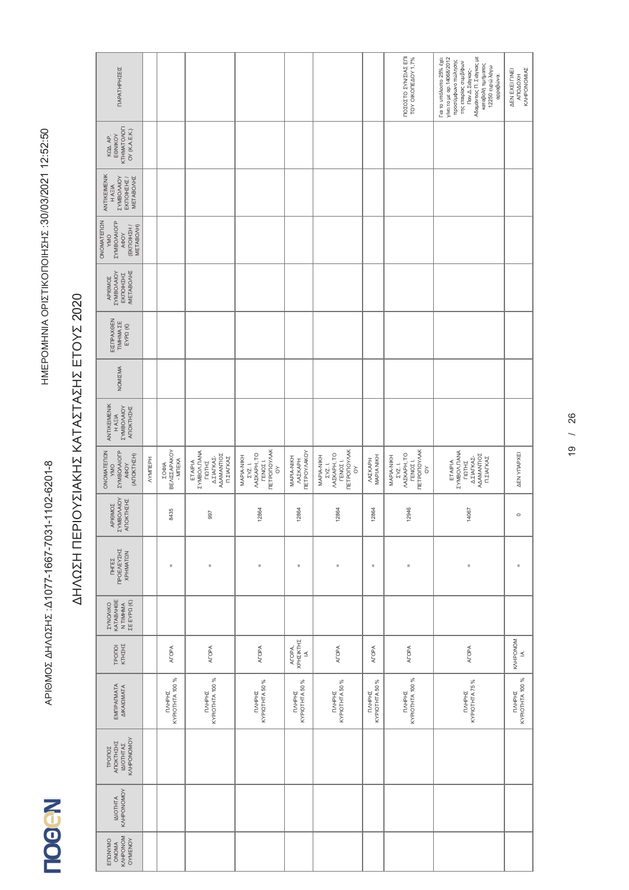| ΠΑΡΑΤΗΡΗΣΕΙΣ                                                                      |          |                                          |                                                                                   |                                                                                         |                                                    |                                                                                                |                          | ΠΟΣΟΣΤΟ ΣΥΝ/ΣΙΑΣ ΕΠΙ<br>TOY OIKONEAOY 1,7%                                               | Αδαμάντιος Π. Σιάγκας με<br>καταβολή τιμήματος<br>Για το υπόλοιπο 25% έχει<br>yíve: το με αρ. 14068/2012<br>προσύμφωνο πώλησης<br>της εταιρίας συμβ/φων<br>12250 ευρώ λόγω<br>Παν.Δ.Σιάγκας-<br>αρραβώνα. | KAHPONOMIAZ<br><b>AEN EXEI FINEI</b><br><b>ATOAOXH</b> |
|-----------------------------------------------------------------------------------|----------|------------------------------------------|-----------------------------------------------------------------------------------|-----------------------------------------------------------------------------------------|----------------------------------------------------|------------------------------------------------------------------------------------------------|--------------------------|------------------------------------------------------------------------------------------|-----------------------------------------------------------------------------------------------------------------------------------------------------------------------------------------------------------|--------------------------------------------------------|
| KTHMATOAOFI<br>OY (K.A.E.K.)<br>EONIKOY<br>KQA AP.                                |          |                                          |                                                                                   |                                                                                         |                                                    |                                                                                                |                          |                                                                                          |                                                                                                                                                                                                           |                                                        |
| ANTIKEIMENIK<br><b>ZYMBO/AIOY</b><br><b>METABOAHZ</b><br>ΕΚΠΟΙΗΣΗΣ /<br>H AEIA    |          |                                          |                                                                                   |                                                                                         |                                                    |                                                                                                |                          |                                                                                          |                                                                                                                                                                                                           |                                                        |
| ONOMATEMON<br><b><i>EYMBOAAOFP</i></b><br>(EKTOIHZH /<br>METABO/H)<br>AOOY<br>VMO |          |                                          |                                                                                   |                                                                                         |                                                    |                                                                                                |                          |                                                                                          |                                                                                                                                                                                                           |                                                        |
| <b>METABONHZ</b><br><b>ZYMBO/AIOY</b><br>ΕΚΠΟΙΗΣΗΣ<br>APIOMOZ                     |          |                                          |                                                                                   |                                                                                         |                                                    |                                                                                                |                          |                                                                                          |                                                                                                                                                                                                           |                                                        |
| ΕΙΣΠΡΑΧΘΕΝ<br>TIMHMA ZE<br>EYPΩ (€)                                               |          |                                          |                                                                                   |                                                                                         |                                                    |                                                                                                |                          |                                                                                          |                                                                                                                                                                                                           |                                                        |
| NOMIZMA                                                                           |          |                                          |                                                                                   |                                                                                         |                                                    |                                                                                                |                          |                                                                                          |                                                                                                                                                                                                           |                                                        |
| ANTIKEIMENIK<br><b>AOIVVOGINAS</b><br>ANOKTHEHE<br>HAEIA                          |          |                                          |                                                                                   |                                                                                         |                                                    |                                                                                                |                          |                                                                                          |                                                                                                                                                                                                           |                                                        |
| <b><i>EYMBOAAIOFP</i></b><br>ONOMATEDON<br>(ANOKTHIN)<br>AФOY<br><b>OWA</b>       | NYMITEPH | <b>BEAIZZAPAKOY</b><br>- MITEKA<br>ΣΟΦΙΑ | ETAIPIA<br>EYMBOA.ITANA<br>AAAMANTIOZ<br>Δ.ΣΙΑΓΚΑΣ-<br>Π.ΣΙΑΓΚΑΣ<br><b>TIQTHE</b> | <b>TETPONOYAAK</b><br><b>MXKAPH, TO</b><br>MAPIA-NIKH<br>ΓENOΣ1.<br>ΣΥΖ. Ι.<br>$\delta$ | <b>ΠΕΤΡΟΥΛΑΚΟΥ</b><br>MAPIA-NIKH<br><b>MXIKAPH</b> | <b><i>ΠΕΤΡΟΠΟΥΛΑΚ</i></b><br><b>MXKAPH, TO</b><br>MAPIA-NIKH<br>ΓEΝΟΣ1.<br>ΣΥΖ. Ι.<br>$\delta$ | MAPIA NIKH<br>ΛΑΣΚΑΡΗ    | <b>TETPONOVAK</b><br>MAZKAPH, TO<br>MAPIA-NIKH<br><b>ΓΕΝΟΣ</b> Ι.<br>ΣΥΖ. Ι.<br>$\delta$ | <b><i>EYMBOA. TANA</i></b><br>AAAMANTIOZ<br>ΔΣΙΑΓΚΑΣ-<br>Π.ΣΙΑΓΚΑΣ<br>ETAIPIA<br><b>TIQTHE</b>                                                                                                            | <b>AEN YITAPXEI</b>                                    |
| APIOMOZ<br>EYMBO/AIOY<br>ATOKTH∑H∑                                                |          | 8435                                     | 997                                                                               | 12864                                                                                   | 12864                                              | 12864                                                                                          | 12864                    | 12946                                                                                    | 14067                                                                                                                                                                                                     | $\circ$                                                |
| ΠΡΟΕΛΕΥΣΗΣ<br><b>XPHMATON</b><br><b>THIES</b>                                     |          | Ш                                        | II.                                                                               | $\sf II$                                                                                | Ш                                                  | $\rm _{H}$                                                                                     | $\sf II$                 | $\mathsf{II}$                                                                            | $\mathbf{I}$                                                                                                                                                                                              | $\mathbf{I}$                                           |
| KATABAHOE<br>ΣΕ ΕΥΡΩ (€)<br><b><i>EYNOVIKO</i></b><br>N TIMHMA                    |          |                                          |                                                                                   |                                                                                         |                                                    |                                                                                                |                          |                                                                                          |                                                                                                                                                                                                           |                                                        |
| KTHIHI<br>TPONOI                                                                  |          | <b>AFOPA</b>                             | <b>AFOPA</b>                                                                      | <b>ATOPA</b>                                                                            | ΧΡΗΣΙΚΤΗΣ<br>ATOPA,<br>$\leq$                      | <b>ATOPA</b>                                                                                   | <b>AFOPA</b>             | AFOPA                                                                                    | <b>AFOPA</b>                                                                                                                                                                                              | <b>KVHPONOM</b><br>$\leq$                              |
| EMITPATMATA<br><b>AIKAIQMATA</b>                                                  |          | KYPIOTHTA 100 %<br><b>TIVHPHS</b>        | KYPIOTHTA 100 %<br><b>NAHPHS</b>                                                  | KYPIOTHTA 50 %<br>TIVHPHE                                                               | TIAHPHE<br>KYPIOTHTA 50 %                          | KYPIOTHTA 50 %<br>TIVHPHZ                                                                      | KYPIOTHTA 50 %<br>TAHPHZ | KYPIOTHTA 100 %<br>TIVHPHE                                                               | KYPIOTHTA 75 %<br>TAHPHE                                                                                                                                                                                  | KYPIOTHTA 100 %<br>TIVHPHE                             |
| KVHbONOWOY<br>ANOKTHEHE<br>ΙΔΙΟΤΗΤΑΣ<br>TPONOZ                                    |          |                                          |                                                                                   |                                                                                         |                                                    |                                                                                                |                          |                                                                                          |                                                                                                                                                                                                           |                                                        |
| KVHbONOWOY<br><b>IAIOTHTA</b>                                                     |          |                                          |                                                                                   |                                                                                         |                                                    |                                                                                                |                          |                                                                                          |                                                                                                                                                                                                           |                                                        |
| KAHPONOM<br>OYMENOY<br>ENQNYMO<br>ONOMA                                           |          |                                          |                                                                                   |                                                                                         |                                                    |                                                                                                |                          |                                                                                          |                                                                                                                                                                                                           |                                                        |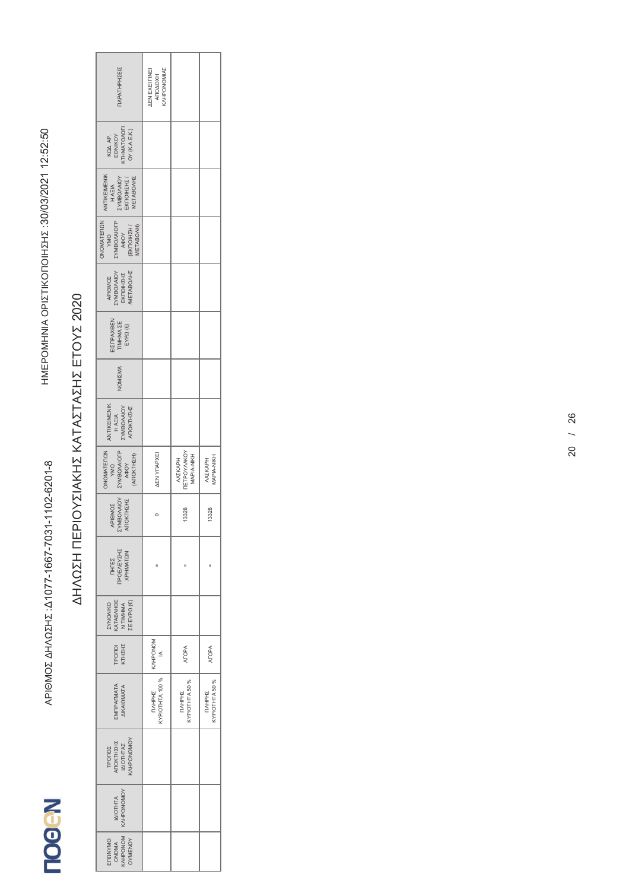| ΙΑΡΑΤΗΡΗΣΕΙΣ                                                                             | <b>WINONOWIA</b><br>AEN EXEI FINEI<br><b>ATOAOXH</b> |                                                          |                             |
|------------------------------------------------------------------------------------------|------------------------------------------------------|----------------------------------------------------------|-----------------------------|
| KOA AP.<br>EONIKOY<br>KTHMATOAOFI<br>OY (K.A.E.K.)                                       |                                                      |                                                          |                             |
| ANTIKEIMENIK<br>H AΞIA<br>ΣΥΜΒΟΛΑΙΟΥ<br>EKΠΟΙΗΣΗΣ /<br><b>METABOAHZ</b>                  |                                                      |                                                          |                             |
| YMO<br>EYMBO/AIOFP<br>A <del>O</del> OY<br>(EKNOIHZH /<br>ONOMATERON<br><b>METABO/H)</b> |                                                      |                                                          |                             |
| ΑΡΙΘΜΟΣ<br>ΣΥΜΒΟΛΑΙΟΥ<br>ΕΚΠΟΙΗΣΗΣ<br>ΜΕΤΑΒΟΛΗΣ                                          |                                                      |                                                          |                             |
| ΕΙΣΠΡΑΧΘΕΝ<br>TIMHMA ΣΕ<br>ΕΥΡΩ (€)                                                      |                                                      |                                                          |                             |
| <b>JOMIZMA</b>                                                                           |                                                      |                                                          |                             |
| ANTIKEIMENIK<br>H A EIA<br>EYMBO/AIOY<br>ΑΠΟΚΤΗΣΗΣ                                       |                                                      |                                                          |                             |
| ONOMATERON<br><b><i>EYMBOAAIOFP</i></b><br>AOY<br>(ANOKTHIZH)<br>YMO                     | <b>AEN YTAPXEI</b>                                   | <b>IETPOYAAKOY</b><br>MAPIA-NIKH<br>MAZKAPH              | <b>APIA-NIKH</b><br>MAZKAPH |
| <b>AOIVVOBMAZ</b><br>ΑΠΟΚΤΗΣΗΣ<br><b>APIOMOZ</b>                                         |                                                      | 13328                                                    | 13328                       |
| ΠΗΓΈΣ<br>ΠΡΟΕΛΕΎΣΗΣ<br>ΧΡΗΜΑΤΩΝ                                                          | H                                                    | H                                                        | П                           |
| ΚΑΤΑΒΛΗΘΕ<br>Ν ΤΙΜΗΜΑ<br>ΣΕ ΕΥΡΩ (€)<br><b>CAINONIKO</b>                                 |                                                      |                                                          |                             |
| TPONOI<br>KTHZHZ                                                                         | KVHPONOM<br>$\leq$                                   | <b>ALOPA</b>                                             | <b>AFOPA</b>                |
| <b>EMITPAFMATA</b><br><b>AIKAIQMATA</b>                                                  | <b>CYPIOTHTA 100%</b><br>TAHPHE                      | <b><ypiothta %<="" 50="" b=""><br/>TAHPHE</ypiothta></b> | KYPIOTHTA 50 %<br>ПЛНРНІ    |
| TPONOZ<br>ANOKTHZHZ<br>IAIOTHTAZ<br>KAHPONOMOY                                           |                                                      |                                                          |                             |
| <b>VONONOHNS</b><br><b>IAIOTHTA</b>                                                      |                                                      |                                                          |                             |
| ONOMA<br>KAHPONOM<br>OYMENOY<br>ENQVYMO                                                  |                                                      |                                                          |                             |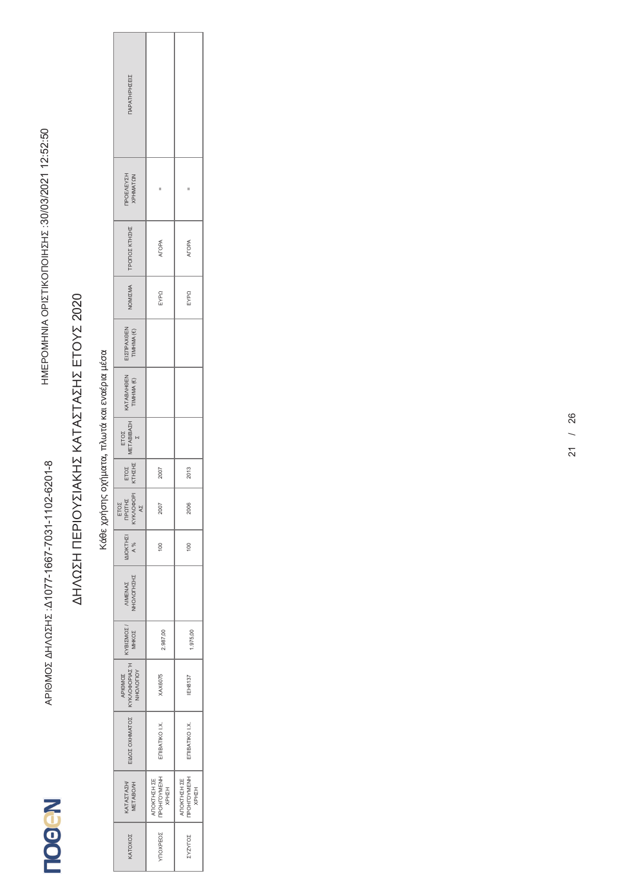#### Κάθε χρήσης οχήματα, πλωτά και εναέρια μέσα Κάθε χρήσης οχήματα, πλωτά και εναέρια μέσα

| ΠΑΡΑΤΗΡΗΣΕΙΣ                                                                                                                 |                                     |                                                    |
|------------------------------------------------------------------------------------------------------------------------------|-------------------------------------|----------------------------------------------------|
| <b>TPOEAEYZH</b><br>XPHMATQN                                                                                                 |                                     | II                                                 |
| ΤΡΟΠΟΣ ΚΤΗΣΗΣ                                                                                                                | ALOPA                               | <b>ATOPA</b>                                       |
| NOMIZMA                                                                                                                      | EYPQ                                | EYPQ                                               |
| ΕΙΣΠΡΑΧΘΕΝ<br>ΤΙΜΗΜΑ (€)                                                                                                     |                                     |                                                    |
| KATABAHOEN<br>TIMHMA (€)                                                                                                     |                                     |                                                    |
| ETOE<br>METABIBAEH<br>E                                                                                                      |                                     |                                                    |
| ETOZ<br>KTHZHZ                                                                                                               | 2007                                | 2013                                               |
| ΕΤΟΣ<br>ΠΡΩΤΗΣ<br>ΚΥΚΛΟΦΟΡΙ<br>ΑΣ                                                                                            | 2007                                | 2006                                               |
| $\begin{array}{c}\n\text{I}\Delta\text{IOK} \text{T} \text{H} \Sigma\text{I} \\ \text{A } \% \\ \text{A } \% \\ \end{array}$ | $\approx$                           | $\frac{1}{2}$                                      |
| VIMENAZ<br>NHOVOLHEHE                                                                                                        |                                     |                                                    |
| KYBIZMOZ /                                                                                                                   | 2.987,00                            | .975,00                                            |
| APIOMOZ<br>KYKAOOPIAZH                                                                                                       | <b>XAX6075</b>                      | <b>IEH8137</b>                                     |
| ΕΙΔΟΣ ΟΧΗΜΑΤΟΣ                                                                                                               | ETIBATIKO I.X.                      | ETIBATIKO I.X.                                     |
| KATAZTAZH/<br>METABO/H                                                                                                       | ΑΠΟΚΤΗΣΗ ΣΕ<br>ΠΡΟΗΓΟΥΜΕΝΗ<br>ΧΡΗΣΗ | <b>TPOHFOYMENH</b><br><b>ATIOKTHZH ΣΕ</b><br>KPHIH |
| KATOXOZ                                                                                                                      | <b>TIOXPEOZ</b>                     | <b>ZASALOZ</b>                                     |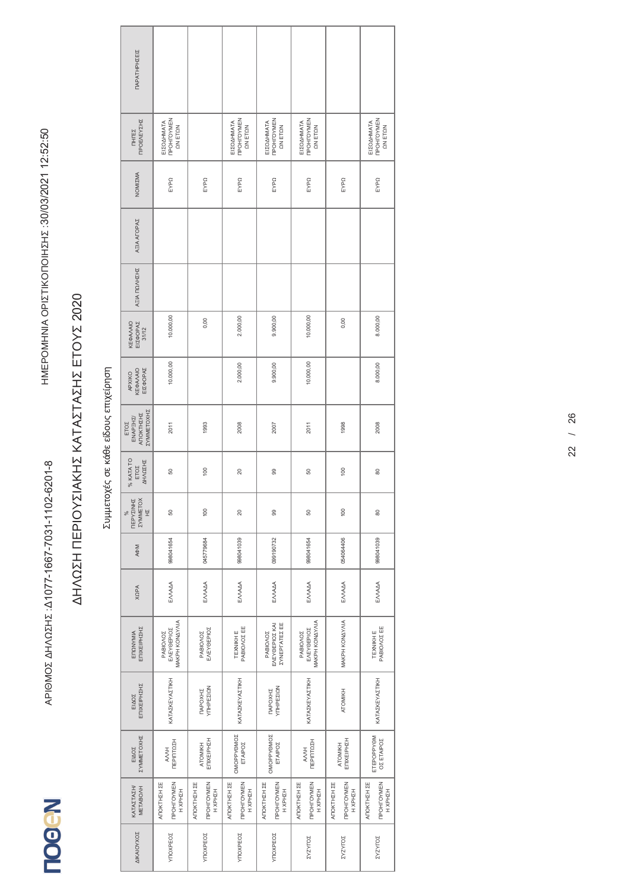#### Συμμετοχές σε κάθε είδους επιχείρηση Συμμετοχές σε κάθε είδους επιχείρηση

| ΠΑΡΑΤΗΡΗΣΕΙΣ<br><b>TPOHFOYMEN</b><br><b>TPOHFOYMEN</b><br><b>TPOEAEYZHZ</b><br><b>TPOHFOYMEN</b><br><b>TPOHFOYMEN</b><br><b>TPOHLOANEN</b><br>ΕΙΣΟΔΗΜΑΤΑ<br>ΕΙΣΟΔΗΜΑΤΑ<br>ΕΙΣΟΔΗΜΑΤΑ<br>ΕΙΣΟΔΗΜΑΤΑ<br>ΕΙΣΟΔΗΜΑΤΑ<br>ΩΝ ΕΤΩΝ<br>ΩΝ ΕΤΩΝ<br>ΩΝ ΕΤΩΝ<br>ΩΝ ΕΤΩΝ<br>ΩΝ ΕΤΩΝ<br>TIHITEZ<br>NOMIZMA<br>EYPQ<br>EYPQ<br>EYPQ<br>EYPQ<br>EYPQ<br>EYPQ<br>EYPQ<br><b>AEIA AFOPAZ</b><br>ΑΞΙΑ ΠΩΛΗΣΗΣ<br>10.000,00<br>10.000,00<br>2.000,00<br>9.900,00<br>8.000,00<br>0,00<br>0,00<br>ΚΕΦΑΛΑΙΟ<br>ΕΙΣΦΟΡΑΣ<br>31/12<br>10.000,00<br>10.000,00<br>2.000,00<br>9.900,00<br>8.000,00<br>ΕΙΣΦΟΡΑΣ<br>ΚΕΦΑΛΑΙΟ<br>APXIKO<br>ΣΥΜΜΕΤΟΧΗΣ<br><b>ANOKTHEHE</b><br>ENAPEH <sub>2</sub><br>ETOZ<br>1993<br>2008<br>1998<br>2008<br>2007<br>2011<br>2011<br>% KATATO<br>ΔΗΛΩΣΗΣ<br>ETOZ<br>100<br>100<br>20<br>80<br>50<br>8<br>50<br>ΠΕΡΥΣΙΝΗΣ<br><b><i>EYMMETOX</i></b><br>보<br>100<br>100<br>8<br>50<br>20<br>8<br>%<br>50<br>099190732<br>998041654<br>045779684<br>998041039<br>998041654<br>054064406<br>998041039<br><b>A¢M</b><br>EMAAA<br>ENVADA<br>ENVADA<br>EMAAA<br>EMAAA<br>EMAAA<br>EMAAA<br><b>XQPA</b><br>MAKPH KONAY/NA<br>MAKPH KONAYAJA<br><b>MAKPH KONAY/NA</b><br>ΕΛΕΥΘΕΡΙΟΣ ΚΑΙ<br><b><i>ΣΥΝΕΡΓΑΤΕΣΕΕ</i></b><br>PABIONOZ EE<br>PABIOVOZEE<br>ΕΠΙΧΕΙΡΗΣΗΣ<br>EVEYGEPIOZ<br>EVEYGEPIOZ<br>EVEYGEPIOZ<br><b>TEXNIKHE</b><br>TEXNIKH E<br>ENQNYMIA<br>PABIONOZ<br>PABIONOZ<br>PABIONOZ<br><b>PABIONOZ</b><br>ΚΑΤΑΣΚΕΥΑΣΤΙΚΗ<br><b>ΚΑΤΑΣΚΕΥΑΣΤΙΚΗ</b><br>ΚΑΤΑΣΚΕΥΑΣΤΙΚΗ<br><b>KATAZKEYAZTIKH</b><br>ΕΠΙΧΕΙΡΗΣΗΣ<br>ΥΠΗΡΕΣΙΩΝ<br><b>YTHPEZION</b><br>TAPOXHI<br>TAPOXHE<br>ATOMIKH<br>EIAOZ<br>OMOPPYOMOZ<br>OMOPPYOMOZ<br>ΣΥΜΜΕΤΟΧΗΣ<br>ETEPOPPYOM<br>ΟΣ ΕΤΑΙΡΟΣ<br>ΕΠΙΧΕΙΡΗΣΗ<br>ETIIXEIPHZH<br>ΠΕΡΙΠΤΩΣΗ<br>ΠΕΡΙΠΤΩΣΗ<br>ETAIPOZ<br>ETAIPOZ<br>ATOMIKH<br>ATOMIKH<br>EIAOZ<br>HVVY<br>HVVY<br>ANOKTHIN ZE<br><b>TPOHTOYMEN</b><br>ATOKTHIN ZE<br>ATOKTHZH ZE<br>ANOKTHIN ZE<br>ANOKTHIN ZE<br><b><i>TPOHTOYMEN</i></b><br>ATOKTHIN ZE<br>ATOKTHZH ZE<br><b><i>TIPOHTOYMEN</i></b><br><b>TPOHTOYMEN</b><br><b>TPOHFOYMEN</b><br><b>TPOHTOYMEN</b><br><b>TPOHTOYMEN</b><br>KATAZTAZH/<br>METABO/H<br>H XPHZH<br>H XPHZH<br>H XPHZH<br>HZHZH<br>HZH<br>HXPHZH<br>HZHZH<br>KPHZH<br>HZHZH<br>HZH<br>ΔΙΚΑΙΟΥΧΟΣ<br><b>YITO XPEOZ</b><br><b>YTIOXPEO2</b><br><b>YITO XPEOZ</b><br>YIOXPEOZ<br>ΣΥΖΥΓΟΣ<br><b>ZASALOZ</b><br><b>ZASALOZ</b> |  |  |  |  |  |
|------------------------------------------------------------------------------------------------------------------------------------------------------------------------------------------------------------------------------------------------------------------------------------------------------------------------------------------------------------------------------------------------------------------------------------------------------------------------------------------------------------------------------------------------------------------------------------------------------------------------------------------------------------------------------------------------------------------------------------------------------------------------------------------------------------------------------------------------------------------------------------------------------------------------------------------------------------------------------------------------------------------------------------------------------------------------------------------------------------------------------------------------------------------------------------------------------------------------------------------------------------------------------------------------------------------------------------------------------------------------------------------------------------------------------------------------------------------------------------------------------------------------------------------------------------------------------------------------------------------------------------------------------------------------------------------------------------------------------------------------------------------------------------------------------------------------------------------------------------------------------------------------------------------------------------------------------------------------------------------------------------------------------------------------------------------------------------------------------------------------------------------------------------------------------------------------------------------------------------------------------------------------------------------------------------------------------------|--|--|--|--|--|
|                                                                                                                                                                                                                                                                                                                                                                                                                                                                                                                                                                                                                                                                                                                                                                                                                                                                                                                                                                                                                                                                                                                                                                                                                                                                                                                                                                                                                                                                                                                                                                                                                                                                                                                                                                                                                                                                                                                                                                                                                                                                                                                                                                                                                                                                                                                                    |  |  |  |  |  |
|                                                                                                                                                                                                                                                                                                                                                                                                                                                                                                                                                                                                                                                                                                                                                                                                                                                                                                                                                                                                                                                                                                                                                                                                                                                                                                                                                                                                                                                                                                                                                                                                                                                                                                                                                                                                                                                                                                                                                                                                                                                                                                                                                                                                                                                                                                                                    |  |  |  |  |  |
|                                                                                                                                                                                                                                                                                                                                                                                                                                                                                                                                                                                                                                                                                                                                                                                                                                                                                                                                                                                                                                                                                                                                                                                                                                                                                                                                                                                                                                                                                                                                                                                                                                                                                                                                                                                                                                                                                                                                                                                                                                                                                                                                                                                                                                                                                                                                    |  |  |  |  |  |
|                                                                                                                                                                                                                                                                                                                                                                                                                                                                                                                                                                                                                                                                                                                                                                                                                                                                                                                                                                                                                                                                                                                                                                                                                                                                                                                                                                                                                                                                                                                                                                                                                                                                                                                                                                                                                                                                                                                                                                                                                                                                                                                                                                                                                                                                                                                                    |  |  |  |  |  |
|                                                                                                                                                                                                                                                                                                                                                                                                                                                                                                                                                                                                                                                                                                                                                                                                                                                                                                                                                                                                                                                                                                                                                                                                                                                                                                                                                                                                                                                                                                                                                                                                                                                                                                                                                                                                                                                                                                                                                                                                                                                                                                                                                                                                                                                                                                                                    |  |  |  |  |  |
|                                                                                                                                                                                                                                                                                                                                                                                                                                                                                                                                                                                                                                                                                                                                                                                                                                                                                                                                                                                                                                                                                                                                                                                                                                                                                                                                                                                                                                                                                                                                                                                                                                                                                                                                                                                                                                                                                                                                                                                                                                                                                                                                                                                                                                                                                                                                    |  |  |  |  |  |
|                                                                                                                                                                                                                                                                                                                                                                                                                                                                                                                                                                                                                                                                                                                                                                                                                                                                                                                                                                                                                                                                                                                                                                                                                                                                                                                                                                                                                                                                                                                                                                                                                                                                                                                                                                                                                                                                                                                                                                                                                                                                                                                                                                                                                                                                                                                                    |  |  |  |  |  |
|                                                                                                                                                                                                                                                                                                                                                                                                                                                                                                                                                                                                                                                                                                                                                                                                                                                                                                                                                                                                                                                                                                                                                                                                                                                                                                                                                                                                                                                                                                                                                                                                                                                                                                                                                                                                                                                                                                                                                                                                                                                                                                                                                                                                                                                                                                                                    |  |  |  |  |  |
|                                                                                                                                                                                                                                                                                                                                                                                                                                                                                                                                                                                                                                                                                                                                                                                                                                                                                                                                                                                                                                                                                                                                                                                                                                                                                                                                                                                                                                                                                                                                                                                                                                                                                                                                                                                                                                                                                                                                                                                                                                                                                                                                                                                                                                                                                                                                    |  |  |  |  |  |
|                                                                                                                                                                                                                                                                                                                                                                                                                                                                                                                                                                                                                                                                                                                                                                                                                                                                                                                                                                                                                                                                                                                                                                                                                                                                                                                                                                                                                                                                                                                                                                                                                                                                                                                                                                                                                                                                                                                                                                                                                                                                                                                                                                                                                                                                                                                                    |  |  |  |  |  |
|                                                                                                                                                                                                                                                                                                                                                                                                                                                                                                                                                                                                                                                                                                                                                                                                                                                                                                                                                                                                                                                                                                                                                                                                                                                                                                                                                                                                                                                                                                                                                                                                                                                                                                                                                                                                                                                                                                                                                                                                                                                                                                                                                                                                                                                                                                                                    |  |  |  |  |  |
|                                                                                                                                                                                                                                                                                                                                                                                                                                                                                                                                                                                                                                                                                                                                                                                                                                                                                                                                                                                                                                                                                                                                                                                                                                                                                                                                                                                                                                                                                                                                                                                                                                                                                                                                                                                                                                                                                                                                                                                                                                                                                                                                                                                                                                                                                                                                    |  |  |  |  |  |
|                                                                                                                                                                                                                                                                                                                                                                                                                                                                                                                                                                                                                                                                                                                                                                                                                                                                                                                                                                                                                                                                                                                                                                                                                                                                                                                                                                                                                                                                                                                                                                                                                                                                                                                                                                                                                                                                                                                                                                                                                                                                                                                                                                                                                                                                                                                                    |  |  |  |  |  |
|                                                                                                                                                                                                                                                                                                                                                                                                                                                                                                                                                                                                                                                                                                                                                                                                                                                                                                                                                                                                                                                                                                                                                                                                                                                                                                                                                                                                                                                                                                                                                                                                                                                                                                                                                                                                                                                                                                                                                                                                                                                                                                                                                                                                                                                                                                                                    |  |  |  |  |  |
|                                                                                                                                                                                                                                                                                                                                                                                                                                                                                                                                                                                                                                                                                                                                                                                                                                                                                                                                                                                                                                                                                                                                                                                                                                                                                                                                                                                                                                                                                                                                                                                                                                                                                                                                                                                                                                                                                                                                                                                                                                                                                                                                                                                                                                                                                                                                    |  |  |  |  |  |
|                                                                                                                                                                                                                                                                                                                                                                                                                                                                                                                                                                                                                                                                                                                                                                                                                                                                                                                                                                                                                                                                                                                                                                                                                                                                                                                                                                                                                                                                                                                                                                                                                                                                                                                                                                                                                                                                                                                                                                                                                                                                                                                                                                                                                                                                                                                                    |  |  |  |  |  |
|                                                                                                                                                                                                                                                                                                                                                                                                                                                                                                                                                                                                                                                                                                                                                                                                                                                                                                                                                                                                                                                                                                                                                                                                                                                                                                                                                                                                                                                                                                                                                                                                                                                                                                                                                                                                                                                                                                                                                                                                                                                                                                                                                                                                                                                                                                                                    |  |  |  |  |  |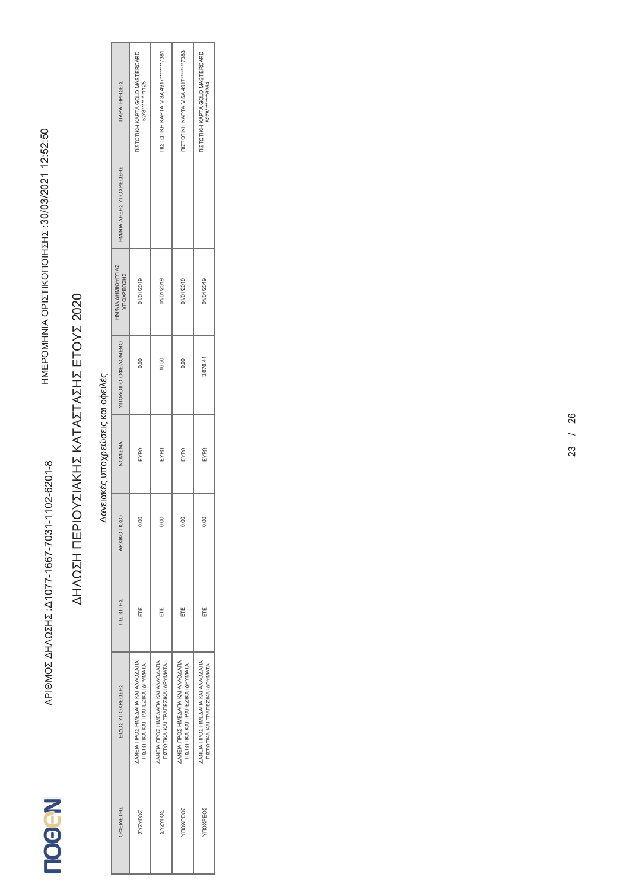| ΠΑΡΑΤΗΡΗΣΕΙΣ                    | <b>IIZTOTIKH KAPTA GOLD MASTERCARD</b><br>5278 ********* 125         | TIZTOTIKH KAPTA VISA 4917********7381                                | <b>ΠΙΣΤΩΤΙΚΗ ΚΑΡΤΑ VISA 4917********7383</b>                         | <b>IIZTOTIKH KAPTA GOLD MASTERCARD</b><br>5278*******6254            |
|---------------------------------|----------------------------------------------------------------------|----------------------------------------------------------------------|----------------------------------------------------------------------|----------------------------------------------------------------------|
| HM/NIA AHEHE YNOXPEQEHE         |                                                                      |                                                                      |                                                                      |                                                                      |
| HMNIA AHMIOYPITAZ<br>ΥΠΟΧΡΕΩΣΗΣ | 01/01/2019                                                           | 01/01/2019                                                           | 01/01/2019                                                           | 01/01/2019                                                           |
| YNOVOILO OФEIVOMENO             | 0.00                                                                 | 16.50                                                                | 0.00                                                                 | 3.878,41                                                             |
| NOMIZMA                         | EYPQ                                                                 | EYPQ                                                                 | EYPQ                                                                 | EYPQ                                                                 |
| APXIKO NOZO                     | 0.00                                                                 | 0.00                                                                 | 0,00                                                                 | 0,00                                                                 |
| ΠΙΣΤΩΤΗΣ                        | Ë                                                                    | Ë                                                                    | Ë                                                                    | Ë                                                                    |
| ΕΙΔΟΣ ΥΠΟΧΡΕΩΣΗΣ                | ΔΑΝΕΙΑ ΠΡΟΣ ΗΜΕΔΑΠΑ ΚΑΙ ΑΛΛΟΔΑΠΑ<br>ΠΙΣΤΩΤΙΚΑ ΚΑΙ ΤΡΑΠΕΖΙΚΑ ΙΔΡΥΜΑΤΑ | ΔΑΝΕΙΑ ΠΡΟΣ ΗΜΕΔΑΠΑ ΚΑΙ ΑΛΛΟΔΑΠΑ<br>ΠΙΣΤΩΤΙΚΑ ΚΑΙ ΤΡΑΠΕΖΙΚΑ ΙΔΡΥΜΑΤΑ | ΔΑΝΕΙΑ ΠΡΟΣ ΗΜΕΔΑΠΑ ΚΑΙ ΑΛΛΟΔΑΠΑ<br>ΠΙΣΤΩΤΙΚΑ ΚΑΙ ΤΡΑΠΕΖΙΚΑ ΙΔΡΥΜΑΤΑ | AANEIA ΠΡΟΣ ΗΜΕΔΑΠΑ ΚΑΙ ΑΛΛΟΔΑΠΑ<br>ΠΙΣΤΩΤΙΚΑ ΚΑΙ ΤΡΑΠΕΖΙΚΑ ΙΔΡΥΜΑΤΑ |
| ΟΦΕΙΛΕΤΗΣ                       | <b><i>EXZYFOE</i></b>                                                | ΣΥΖΥΓΟΣ                                                              | <b>YTIOXPEOZ</b>                                                     | <b>YTIOXPEO2</b>                                                     |

Δανειακές υποχρεώσεις και οφειλές Δανειακές υποχρεώσεις και οφειλές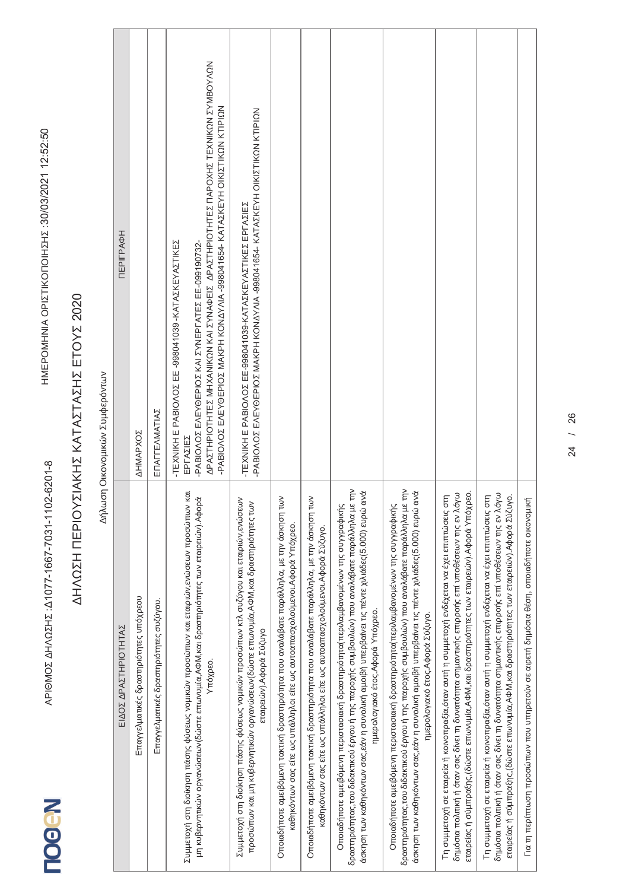Δήλωση Οικονομικών Συμφερόντων

| ПЕРІГРАФН            | <b>AHMAPXOZ</b>                        | ΕΠΑΓΓΕΛΜΑΤΙΑΣ                          | APASTHPIOTHTES MHXANIKCN KAI SYNAQEIS APASTHPIOTHTES NAPOXHS TEXNIKCN SYNBOYACN<br>-PABIOAOZ EAEYOEPIOZ MAKPH KONAYA41654- KATAZKEYH OIKIZTIKON KTIPION<br>TEXNIKH E PABIOΛOΣ EE -998041039 - ΚΑΤΑΣΚΕΥΑΣΤΙΚΕΣ<br>-PABIO/OZ E/VEYOEPIOZ KAI ZYNEPI ATEZ EE-099190732-<br>ΕΡΓΑΣΙΕΣ | PABIOAOZ EAEYOEPIOZ MAKPH KONAYAA-998041654- KATAXKEYH OIKIZTIKON KTIPION<br>-TEXNIKH E PABIONOZ EE-998041039-KATAZKEYAZTIKEZ EPITAZIEZ                                                               |                                                                                                                                                                       |                                                                                                                                                                      |                                                                                                                                                                                                                                                                                                                         |                                                                                                                                                                                                                                                                                                                       |                                                                                                                                                                                                                                                                                              |                                                                                                                                                                                                                                                                                            |                                                                                       |
|----------------------|----------------------------------------|----------------------------------------|----------------------------------------------------------------------------------------------------------------------------------------------------------------------------------------------------------------------------------------------------------------------------------|-------------------------------------------------------------------------------------------------------------------------------------------------------------------------------------------------------|-----------------------------------------------------------------------------------------------------------------------------------------------------------------------|----------------------------------------------------------------------------------------------------------------------------------------------------------------------|-------------------------------------------------------------------------------------------------------------------------------------------------------------------------------------------------------------------------------------------------------------------------------------------------------------------------|-----------------------------------------------------------------------------------------------------------------------------------------------------------------------------------------------------------------------------------------------------------------------------------------------------------------------|----------------------------------------------------------------------------------------------------------------------------------------------------------------------------------------------------------------------------------------------------------------------------------------------|--------------------------------------------------------------------------------------------------------------------------------------------------------------------------------------------------------------------------------------------------------------------------------------------|---------------------------------------------------------------------------------------|
| ΕΙΔΟΣ ΔΡΑΣΤΗΡΙΟΤΗΤΑΣ | Επαγγελματικές δραστηριότητες υπόχρεου | Επαγγελματικές δραστηριότητες συζύγου. | Συμμετοχή στη διοίκηση πάσης φύσεως νομικών προσώπων και εταιριών,ενώσεων προσώπων και<br>μη κυβερνητικών οργανώσεων(δώστε επωνυμία,ΑΦΜ,και δραστηριότητες των εταιρειών).Αφορά<br>Υπόχρεο.                                                                                      | Συμμετοχή στη διοίκηση πάσης φύσεως νομικών προσώπων κτλ συζύγου και εταιριών,ενώσεων<br>προσώπων και μη κυβερνητικών οργανώσεων(δώστε επωνυμία,ΑΦΜ,και δραστηριότητες των<br>εταιρειών).Αφορά Σύζυγο | Οποιαδήποτε αμειβόμενη τακτική δραστηριότητα που αναλάβατε παράλληλα, με την άσκηση των<br>καθηκόντων σας είτε ως υπάλληλοι είτε ως αυτοαπασχολούμενοι.Αφορά Υπόχρεο. | Οποιαδήποτε αμειβόμενη τακτική δραστηριότητα που αναλάβατε παράλληλα, με την άσκηση των<br>καθηκόντων σας είτε ως υπάλληλοι είτε ως αυτοαπασχολούμενοι.Αφορά Σύζυγο. | δραστηριότητας,του διδακτικού έργου ή της παροχής συμβουλών) που αναλάβατε παράλληλα με την<br>άσκηση των καθηκόντων σας,εάν η συνολική αμοιβή υπερβαίνει τις πέντε χιλιάδες(5.000) ευρώ ανά<br>Οποιαδήποτε αμειβόμενη περιστασιακή δραστηριότητα(περιλαμβανομένων της συγγραφικής<br>ημερολογιακό έτος. Αφορά Υπόχρεο. | δραστηριότητας,του διδακτικού έργου ή της παροχής συμβουλών) που αναλάβατε παράλληλα με την<br>άσκηση των καθηκόντων σας,εάν η συνολική αμοιβή υπερβαίνει τις πέντε χιλιάδες(5.000) ευρώ ανά<br>Οποιαδήποτε αμειβόμενη περιστασιακή δραστηριότητα(περιλαμβανομένων της συγγραφικής<br>ημερολογιακό έτος.Αφορά Σύζυγο. | εταιρείας ή σύμπραξης,(δώστε επωνυμία,ΑΦΜ,και δραστηριότητες των εταιρειών).Αφορά Υπόχρεο.<br>δημόσια πολιτική ή όταν σας δίνει τη δυνατότητα σημαντικής επιρροής επί υποθέσεων της εν λόγω<br>Τη συμμετοχή σε εταιρεία ή κοινοπραξία,όταν αυτή η συμμετοχή ενδέχεται να έχει επιπτώσεις στη | δημόσια πολιτική ή όταν σας δίνει τη δυνατότητα σημαντικής επιρροής επί υποθέσεων της εν λόγω<br>Τη συμμετοχή σε εταιρεία ή κοινοπραξία,όταν αυτή η συμμετοχή ενδέχεται να έχει επιπτώσεις στι<br>εταιρείας ή σύμπραξης,(δώστε επωνυμία,ΑΦΜ,και δραστηριότητες των εταιρειών).Αφορά Σύζυγο | Για τη περίπτωση προσώπων που υπηρετούν σε αφετή δημόσια θέση, οποιαδήποτε οικονομική |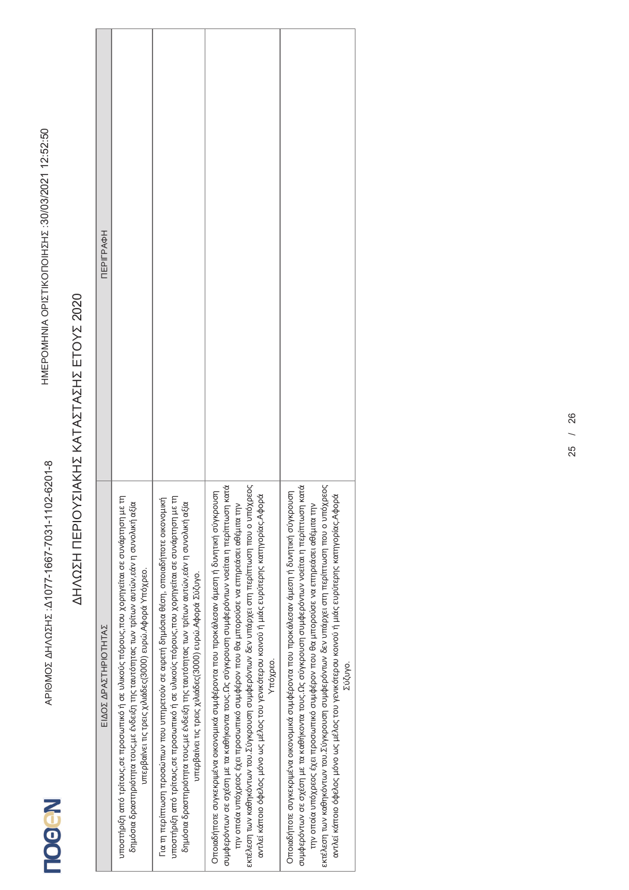| ПЕРІГРАФН            |                                                                                                                                                                                                                                                   |                                                                                                                                                                                                                                                                                                                                           |                                                                                                                                                                                                                                                                                                                                                                                                                                                                                         |                                                                                                                                                                                                                                                                                                                                                                                                                                                                                      |
|----------------------|---------------------------------------------------------------------------------------------------------------------------------------------------------------------------------------------------------------------------------------------------|-------------------------------------------------------------------------------------------------------------------------------------------------------------------------------------------------------------------------------------------------------------------------------------------------------------------------------------------|-----------------------------------------------------------------------------------------------------------------------------------------------------------------------------------------------------------------------------------------------------------------------------------------------------------------------------------------------------------------------------------------------------------------------------------------------------------------------------------------|--------------------------------------------------------------------------------------------------------------------------------------------------------------------------------------------------------------------------------------------------------------------------------------------------------------------------------------------------------------------------------------------------------------------------------------------------------------------------------------|
| ΕΙΔΟΣ ΔΡΑΣΤΗΡΙΟΤΗΤΑΣ | υποστήριξη από τρίτους,σε προσωπικό ή σε υλικούς πόρους,που χορηγείται σε συνάρτηση με τη<br>δημόσια δραστηριότητα τους,με ένδειξη της ταυτότητας των τρίτων αυτών,εάν η συνολική αξία<br>υπερβαίνει τις τρεις χιλιάδες(3000) ευρώ.Αφορά Υπόχρεο. | Για τη περίπτωση προσώπων που υπηρετούν σε αφετή δημόσια θέση, οποιαδήποτε οικονομική<br>υποστήριξη από τρίτους,σε προσωπικό ή σε υλικούς πόρους,που χορηγείται σε συνάρτηση με τη<br>δημόσια δραστηριότητα τους,με ένδειξη της ταυτότητας των τρίτων αυτών,εάν η συνολική αξία<br>υπερβαίνει τις τρεις χιλιάδες(3000) ευρώ Αφορά Σύζυγο. | εκτέλεση των καθηκόντων του.Σύγκρουση συμφερόντων δεν υπάρχει στη περίπτωση που ο υπόχρεος<br>συμφερόντων σε σχέση με τα καθήκοντα τους.Ως σύγκρουση συμφερόντων νοείται η περίπτωση κατά<br>Οποιαδήποτε συγκεκριμένα οικονομικά συμφέροντα που προκάλεσαν άμεση ή δυνητική σύγκρουση<br>αντλεί κάποιο όφελος μόνο ως μέλος του γενικότερου κοινού ή μιάς ευρύτερης κατηγορίας.Αφορά<br>την οποία υπόχρεος έχει προσωπικό συμφέρον που θα μπορούσε να επηρεάσει αθέμιτα την<br>Υπόχρεο. | εκτέλεση των καθηκόντων του.Σύγκρουση συμφερόντων δεν υπάρχει στη περίπτωση που ο υπόχρεος<br>συμφερόντων σε σχέση με τα καθήκοντα τους, αύγκρουση συμφερόντων νοείται η περίπτωση κατά<br>Οποιαδήποτε συγκεκριμένα οικονομικά συμφέροντα που προκάλεσαν άμεση ή δυνητική σύγκρουση<br>αντλεί κάποιο όφελος μόνο ως μέλος του γενικότερου κοινού ή μιάς ευρύτερης κατηγορίας.Αφορά<br>την οποία υπόχρεος έχει προσωπικό συμφέρον που θα μπορούσε να επηρεάσει αθέμιτα την<br>Σύζυγο. |